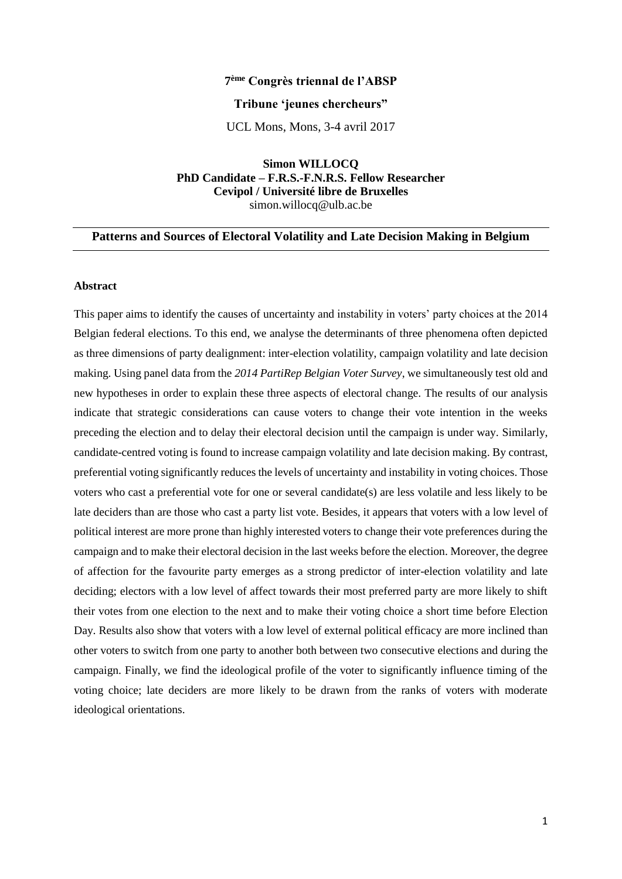# **7 ème Congrès triennal de l'ABSP**

### **Tribune 'jeunes chercheurs"**

UCL Mons, Mons, 3-4 avril 2017

**Simon WILLOCQ PhD Candidate – F.R.S.-F.N.R.S. Fellow Researcher Cevipol / Université libre de Bruxelles** simon.willocq@ulb.ac.be

# **Patterns and Sources of Electoral Volatility and Late Decision Making in Belgium**

# **Abstract**

This paper aims to identify the causes of uncertainty and instability in voters' party choices at the 2014 Belgian federal elections. To this end, we analyse the determinants of three phenomena often depicted as three dimensions of party dealignment: inter-election volatility, campaign volatility and late decision making. Using panel data from the *2014 PartiRep Belgian Voter Survey*, we simultaneously test old and new hypotheses in order to explain these three aspects of electoral change. The results of our analysis indicate that strategic considerations can cause voters to change their vote intention in the weeks preceding the election and to delay their electoral decision until the campaign is under way. Similarly, candidate-centred voting is found to increase campaign volatility and late decision making. By contrast, preferential voting significantly reduces the levels of uncertainty and instability in voting choices. Those voters who cast a preferential vote for one or several candidate(s) are less volatile and less likely to be late deciders than are those who cast a party list vote. Besides, it appears that voters with a low level of political interest are more prone than highly interested voters to change their vote preferences during the campaign and to make their electoral decision in the last weeks before the election. Moreover, the degree of affection for the favourite party emerges as a strong predictor of inter-election volatility and late deciding; electors with a low level of affect towards their most preferred party are more likely to shift their votes from one election to the next and to make their voting choice a short time before Election Day. Results also show that voters with a low level of external political efficacy are more inclined than other voters to switch from one party to another both between two consecutive elections and during the campaign. Finally, we find the ideological profile of the voter to significantly influence timing of the voting choice; late deciders are more likely to be drawn from the ranks of voters with moderate ideological orientations.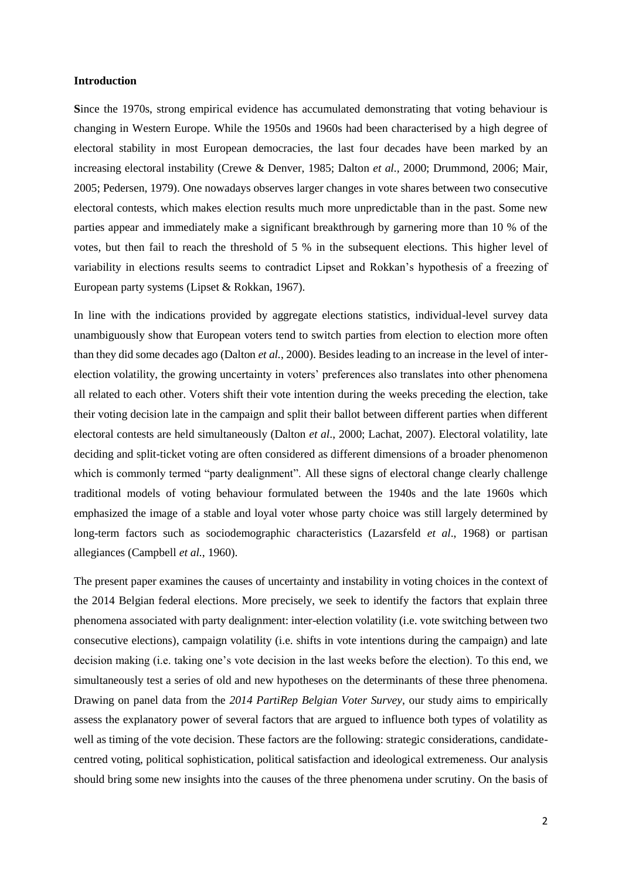## **Introduction**

**S**ince the 1970s, strong empirical evidence has accumulated demonstrating that voting behaviour is changing in Western Europe. While the 1950s and 1960s had been characterised by a high degree of electoral stability in most European democracies, the last four decades have been marked by an increasing electoral instability (Crewe & Denver, 1985; Dalton *et al.,* 2000; Drummond, 2006; Mair, 2005; Pedersen, 1979). One nowadays observes larger changes in vote shares between two consecutive electoral contests, which makes election results much more unpredictable than in the past. Some new parties appear and immediately make a significant breakthrough by garnering more than 10 % of the votes, but then fail to reach the threshold of 5 % in the subsequent elections. This higher level of variability in elections results seems to contradict Lipset and Rokkan's hypothesis of a freezing of European party systems (Lipset & Rokkan, 1967).

In line with the indications provided by aggregate elections statistics, individual-level survey data unambiguously show that European voters tend to switch parties from election to election more often than they did some decades ago (Dalton *et al.*, 2000). Besides leading to an increase in the level of interelection volatility, the growing uncertainty in voters' preferences also translates into other phenomena all related to each other. Voters shift their vote intention during the weeks preceding the election, take their voting decision late in the campaign and split their ballot between different parties when different electoral contests are held simultaneously (Dalton *et al*., 2000; Lachat, 2007). Electoral volatility, late deciding and split-ticket voting are often considered as different dimensions of a broader phenomenon which is commonly termed "party dealignment". All these signs of electoral change clearly challenge traditional models of voting behaviour formulated between the 1940s and the late 1960s which emphasized the image of a stable and loyal voter whose party choice was still largely determined by long-term factors such as sociodemographic characteristics (Lazarsfeld *et al*., 1968) or partisan allegiances (Campbell *et al.*, 1960).

The present paper examines the causes of uncertainty and instability in voting choices in the context of the 2014 Belgian federal elections. More precisely, we seek to identify the factors that explain three phenomena associated with party dealignment: inter-election volatility (i.e. vote switching between two consecutive elections), campaign volatility (i.e. shifts in vote intentions during the campaign) and late decision making (i.e. taking one's vote decision in the last weeks before the election). To this end, we simultaneously test a series of old and new hypotheses on the determinants of these three phenomena. Drawing on panel data from the *2014 PartiRep Belgian Voter Survey*, our study aims to empirically assess the explanatory power of several factors that are argued to influence both types of volatility as well as timing of the vote decision. These factors are the following: strategic considerations, candidatecentred voting, political sophistication, political satisfaction and ideological extremeness. Our analysis should bring some new insights into the causes of the three phenomena under scrutiny. On the basis of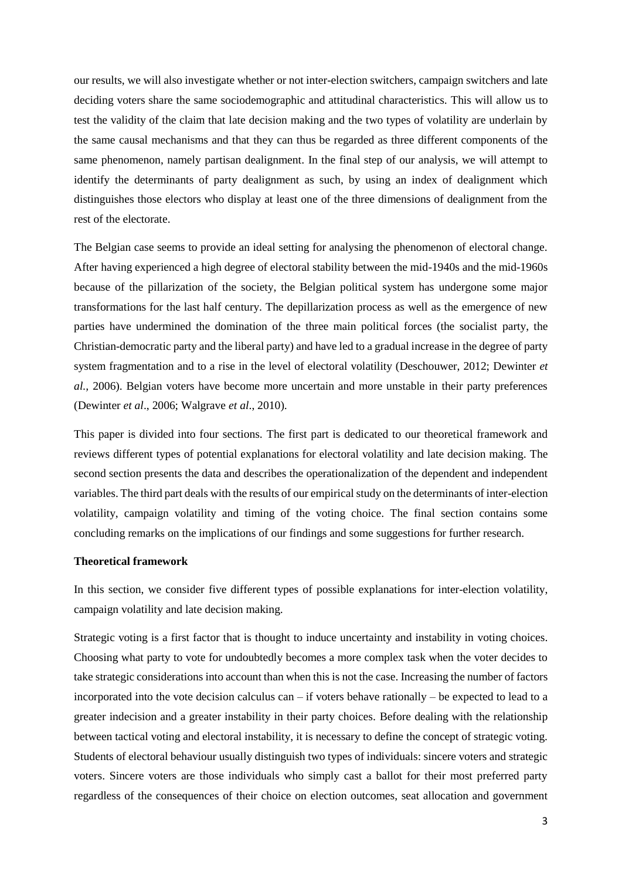our results, we will also investigate whether or not inter-election switchers, campaign switchers and late deciding voters share the same sociodemographic and attitudinal characteristics. This will allow us to test the validity of the claim that late decision making and the two types of volatility are underlain by the same causal mechanisms and that they can thus be regarded as three different components of the same phenomenon, namely partisan dealignment. In the final step of our analysis, we will attempt to identify the determinants of party dealignment as such, by using an index of dealignment which distinguishes those electors who display at least one of the three dimensions of dealignment from the rest of the electorate.

The Belgian case seems to provide an ideal setting for analysing the phenomenon of electoral change. After having experienced a high degree of electoral stability between the mid-1940s and the mid-1960s because of the pillarization of the society, the Belgian political system has undergone some major transformations for the last half century. The depillarization process as well as the emergence of new parties have undermined the domination of the three main political forces (the socialist party, the Christian-democratic party and the liberal party) and have led to a gradual increase in the degree of party system fragmentation and to a rise in the level of electoral volatility (Deschouwer, 2012; Dewinter *et al.,* 2006). Belgian voters have become more uncertain and more unstable in their party preferences (Dewinter *et al*., 2006; Walgrave *et al*., 2010).

This paper is divided into four sections. The first part is dedicated to our theoretical framework and reviews different types of potential explanations for electoral volatility and late decision making. The second section presents the data and describes the operationalization of the dependent and independent variables. The third part deals with the results of our empirical study on the determinants of inter-election volatility, campaign volatility and timing of the voting choice. The final section contains some concluding remarks on the implications of our findings and some suggestions for further research.

## **Theoretical framework**

In this section, we consider five different types of possible explanations for inter-election volatility, campaign volatility and late decision making.

Strategic voting is a first factor that is thought to induce uncertainty and instability in voting choices. Choosing what party to vote for undoubtedly becomes a more complex task when the voter decides to take strategic considerations into account than when this is not the case. Increasing the number of factors incorporated into the vote decision calculus can – if voters behave rationally – be expected to lead to a greater indecision and a greater instability in their party choices. Before dealing with the relationship between tactical voting and electoral instability, it is necessary to define the concept of strategic voting. Students of electoral behaviour usually distinguish two types of individuals: sincere voters and strategic voters. Sincere voters are those individuals who simply cast a ballot for their most preferred party regardless of the consequences of their choice on election outcomes, seat allocation and government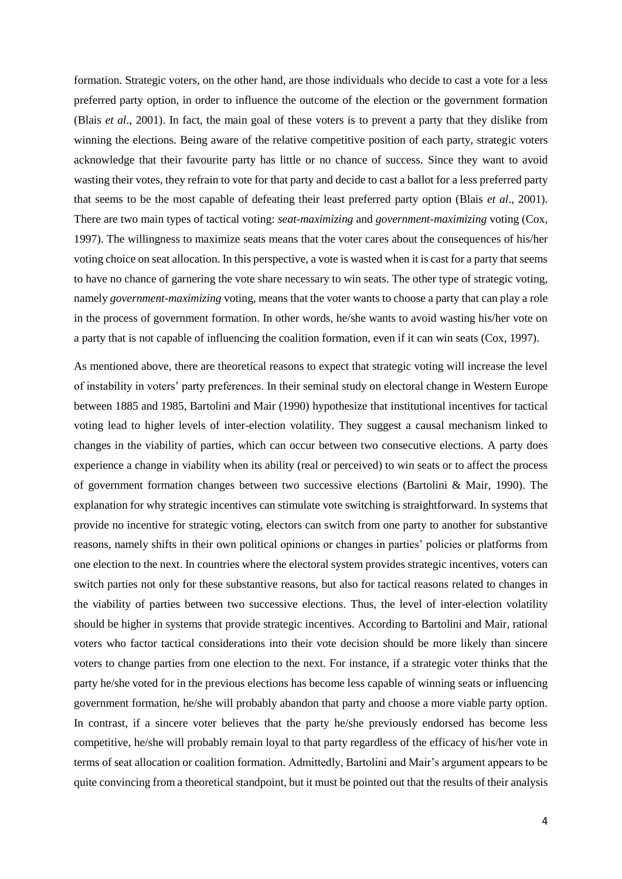formation. Strategic voters, on the other hand, are those individuals who decide to cast a vote for a less preferred party option, in order to influence the outcome of the election or the government formation (Blais *et al*., 2001). In fact, the main goal of these voters is to prevent a party that they dislike from winning the elections. Being aware of the relative competitive position of each party, strategic voters acknowledge that their favourite party has little or no chance of success. Since they want to avoid wasting their votes, they refrain to vote for that party and decide to cast a ballot for a less preferred party that seems to be the most capable of defeating their least preferred party option (Blais *et al*., 2001). There are two main types of tactical voting: *seat-maximizing* and *government-maximizing* voting (Cox, 1997). The willingness to maximize seats means that the voter cares about the consequences of his/her voting choice on seat allocation. In this perspective, a vote is wasted when it is cast for a party that seems to have no chance of garnering the vote share necessary to win seats. The other type of strategic voting, namely *government-maximizing* voting, means that the voter wants to choose a party that can play a role in the process of government formation. In other words, he/she wants to avoid wasting his/her vote on a party that is not capable of influencing the coalition formation, even if it can win seats (Cox, 1997).

As mentioned above, there are theoretical reasons to expect that strategic voting will increase the level of instability in voters' party preferences. In their seminal study on electoral change in Western Europe between 1885 and 1985, Bartolini and Mair (1990) hypothesize that institutional incentives for tactical voting lead to higher levels of inter-election volatility. They suggest a causal mechanism linked to changes in the viability of parties, which can occur between two consecutive elections. A party does experience a change in viability when its ability (real or perceived) to win seats or to affect the process of government formation changes between two successive elections (Bartolini & Mair, 1990). The explanation for why strategic incentives can stimulate vote switching is straightforward. In systems that provide no incentive for strategic voting, electors can switch from one party to another for substantive reasons, namely shifts in their own political opinions or changes in parties' policies or platforms from one election to the next. In countries where the electoral system provides strategic incentives, voters can switch parties not only for these substantive reasons, but also for tactical reasons related to changes in the viability of parties between two successive elections. Thus, the level of inter-election volatility should be higher in systems that provide strategic incentives. According to Bartolini and Mair, rational voters who factor tactical considerations into their vote decision should be more likely than sincere voters to change parties from one election to the next. For instance, if a strategic voter thinks that the party he/she voted for in the previous elections has become less capable of winning seats or influencing government formation, he/she will probably abandon that party and choose a more viable party option. In contrast, if a sincere voter believes that the party he/she previously endorsed has become less competitive, he/she will probably remain loyal to that party regardless of the efficacy of his/her vote in terms of seat allocation or coalition formation. Admittedly, Bartolini and Mair's argument appears to be quite convincing from a theoretical standpoint, but it must be pointed out that the results of their analysis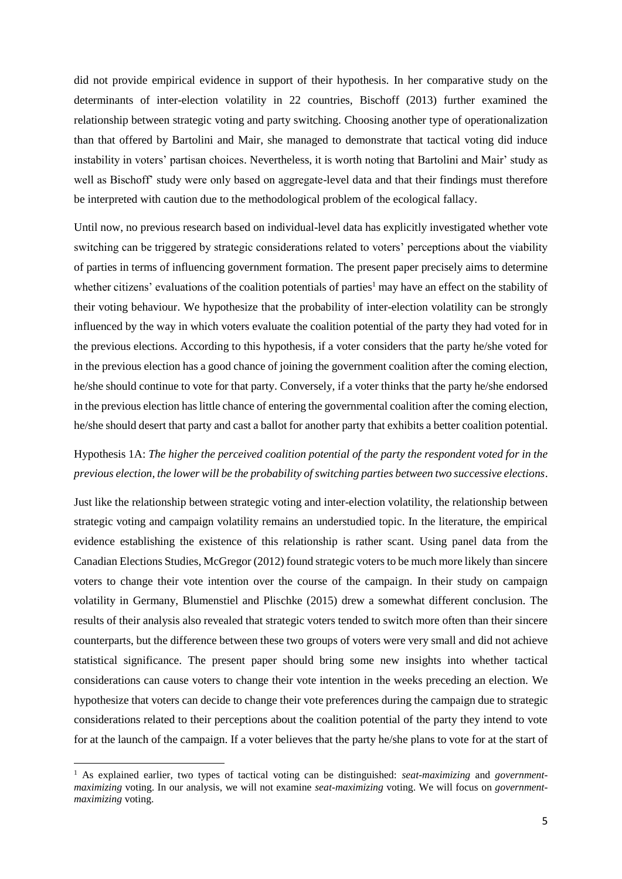did not provide empirical evidence in support of their hypothesis. In her comparative study on the determinants of inter-election volatility in 22 countries, Bischoff (2013) further examined the relationship between strategic voting and party switching. Choosing another type of operationalization than that offered by Bartolini and Mair, she managed to demonstrate that tactical voting did induce instability in voters' partisan choices. Nevertheless, it is worth noting that Bartolini and Mair' study as well as Bischoff' study were only based on aggregate-level data and that their findings must therefore be interpreted with caution due to the methodological problem of the ecological fallacy.

Until now, no previous research based on individual-level data has explicitly investigated whether vote switching can be triggered by strategic considerations related to voters' perceptions about the viability of parties in terms of influencing government formation. The present paper precisely aims to determine whether citizens' evaluations of the coalition potentials of parties<sup>1</sup> may have an effect on the stability of their voting behaviour. We hypothesize that the probability of inter-election volatility can be strongly influenced by the way in which voters evaluate the coalition potential of the party they had voted for in the previous elections. According to this hypothesis, if a voter considers that the party he/she voted for in the previous election has a good chance of joining the government coalition after the coming election, he/she should continue to vote for that party. Conversely, if a voter thinks that the party he/she endorsed in the previous election has little chance of entering the governmental coalition after the coming election, he/she should desert that party and cast a ballot for another party that exhibits a better coalition potential.

# Hypothesis 1A: *The higher the perceived coalition potential of the party the respondent voted for in the previous election, the lower will be the probability of switching parties between two successive elections*.

Just like the relationship between strategic voting and inter-election volatility, the relationship between strategic voting and campaign volatility remains an understudied topic. In the literature, the empirical evidence establishing the existence of this relationship is rather scant. Using panel data from the Canadian Elections Studies, McGregor (2012) found strategic voters to be much more likely than sincere voters to change their vote intention over the course of the campaign. In their study on campaign volatility in Germany, Blumenstiel and Plischke (2015) drew a somewhat different conclusion. The results of their analysis also revealed that strategic voters tended to switch more often than their sincere counterparts, but the difference between these two groups of voters were very small and did not achieve statistical significance. The present paper should bring some new insights into whether tactical considerations can cause voters to change their vote intention in the weeks preceding an election. We hypothesize that voters can decide to change their vote preferences during the campaign due to strategic considerations related to their perceptions about the coalition potential of the party they intend to vote for at the launch of the campaign. If a voter believes that the party he/she plans to vote for at the start of

1

<sup>1</sup> As explained earlier, two types of tactical voting can be distinguished: *seat-maximizing* and *governmentmaximizing* voting. In our analysis, we will not examine *seat-maximizing* voting. We will focus on *governmentmaximizing* voting.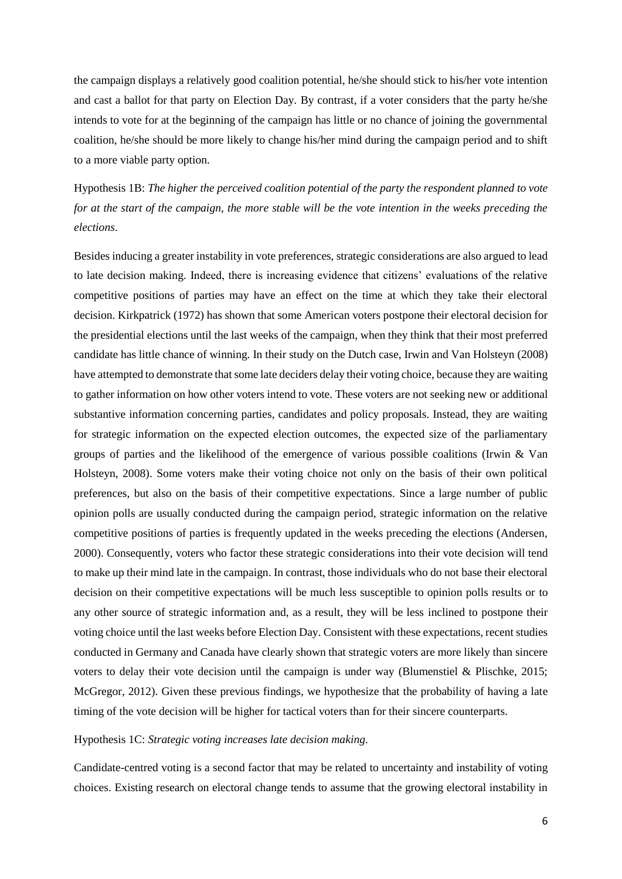the campaign displays a relatively good coalition potential, he/she should stick to his/her vote intention and cast a ballot for that party on Election Day. By contrast, if a voter considers that the party he/she intends to vote for at the beginning of the campaign has little or no chance of joining the governmental coalition, he/she should be more likely to change his/her mind during the campaign period and to shift to a more viable party option.

Hypothesis 1B: *The higher the perceived coalition potential of the party the respondent planned to vote for at the start of the campaign, the more stable will be the vote intention in the weeks preceding the elections*.

Besides inducing a greater instability in vote preferences, strategic considerations are also argued to lead to late decision making. Indeed, there is increasing evidence that citizens' evaluations of the relative competitive positions of parties may have an effect on the time at which they take their electoral decision. Kirkpatrick (1972) has shown that some American voters postpone their electoral decision for the presidential elections until the last weeks of the campaign, when they think that their most preferred candidate has little chance of winning. In their study on the Dutch case, Irwin and Van Holsteyn (2008) have attempted to demonstrate that some late deciders delay their voting choice, because they are waiting to gather information on how other voters intend to vote. These voters are not seeking new or additional substantive information concerning parties, candidates and policy proposals. Instead, they are waiting for strategic information on the expected election outcomes, the expected size of the parliamentary groups of parties and the likelihood of the emergence of various possible coalitions (Irwin & Van Holsteyn, 2008). Some voters make their voting choice not only on the basis of their own political preferences, but also on the basis of their competitive expectations. Since a large number of public opinion polls are usually conducted during the campaign period, strategic information on the relative competitive positions of parties is frequently updated in the weeks preceding the elections (Andersen, 2000). Consequently, voters who factor these strategic considerations into their vote decision will tend to make up their mind late in the campaign. In contrast, those individuals who do not base their electoral decision on their competitive expectations will be much less susceptible to opinion polls results or to any other source of strategic information and, as a result, they will be less inclined to postpone their voting choice until the last weeks before Election Day. Consistent with these expectations, recent studies conducted in Germany and Canada have clearly shown that strategic voters are more likely than sincere voters to delay their vote decision until the campaign is under way (Blumenstiel  $\&$  Plischke, 2015; McGregor, 2012). Given these previous findings, we hypothesize that the probability of having a late timing of the vote decision will be higher for tactical voters than for their sincere counterparts.

# Hypothesis 1C: *Strategic voting increases late decision making.*

Candidate-centred voting is a second factor that may be related to uncertainty and instability of voting choices. Existing research on electoral change tends to assume that the growing electoral instability in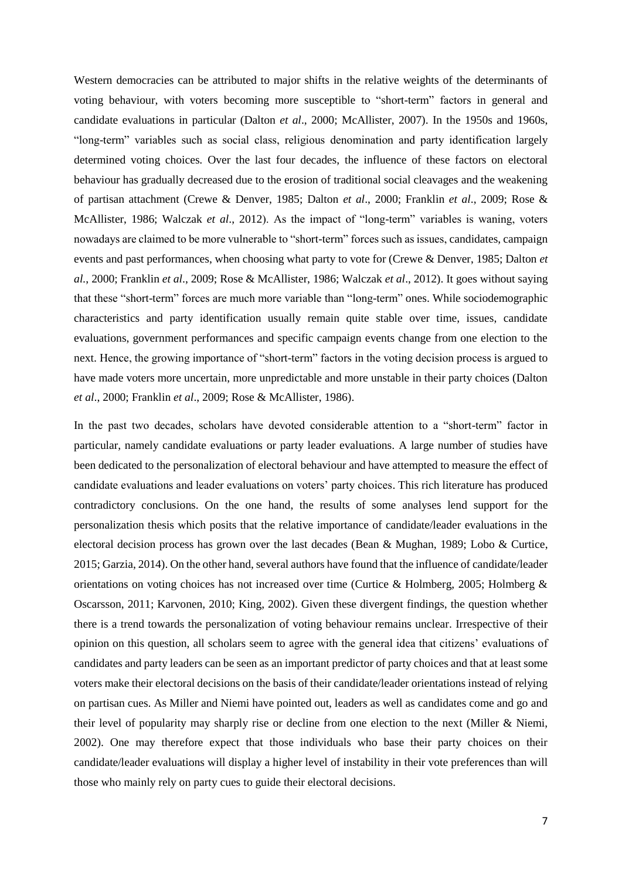Western democracies can be attributed to major shifts in the relative weights of the determinants of voting behaviour, with voters becoming more susceptible to "short-term" factors in general and candidate evaluations in particular (Dalton *et al*., 2000; McAllister, 2007). In the 1950s and 1960s, "long-term" variables such as social class, religious denomination and party identification largely determined voting choices. Over the last four decades, the influence of these factors on electoral behaviour has gradually decreased due to the erosion of traditional social cleavages and the weakening of partisan attachment (Crewe & Denver, 1985; Dalton *et al*., 2000; Franklin *et al*., 2009; Rose & McAllister, 1986; Walczak *et al*., 2012). As the impact of "long-term" variables is waning, voters nowadays are claimed to be more vulnerable to "short-term" forces such as issues, candidates, campaign events and past performances, when choosing what party to vote for (Crewe & Denver, 1985; Dalton *et al.*, 2000; Franklin *et al*., 2009; Rose & McAllister, 1986; Walczak *et al*., 2012). It goes without saying that these "short-term" forces are much more variable than "long-term" ones. While sociodemographic characteristics and party identification usually remain quite stable over time, issues, candidate evaluations, government performances and specific campaign events change from one election to the next. Hence, the growing importance of "short-term" factors in the voting decision process is argued to have made voters more uncertain, more unpredictable and more unstable in their party choices (Dalton *et al*., 2000; Franklin *et al*., 2009; Rose & McAllister, 1986).

In the past two decades, scholars have devoted considerable attention to a "short-term" factor in particular, namely candidate evaluations or party leader evaluations. A large number of studies have been dedicated to the personalization of electoral behaviour and have attempted to measure the effect of candidate evaluations and leader evaluations on voters' party choices. This rich literature has produced contradictory conclusions. On the one hand, the results of some analyses lend support for the personalization thesis which posits that the relative importance of candidate/leader evaluations in the electoral decision process has grown over the last decades (Bean & Mughan, 1989; Lobo & Curtice, 2015; Garzia, 2014). On the other hand, several authors have found that the influence of candidate/leader orientations on voting choices has not increased over time (Curtice & Holmberg, 2005; Holmberg  $\&$ Oscarsson, 2011; Karvonen, 2010; King, 2002). Given these divergent findings, the question whether there is a trend towards the personalization of voting behaviour remains unclear. Irrespective of their opinion on this question, all scholars seem to agree with the general idea that citizens' evaluations of candidates and party leaders can be seen as an important predictor of party choices and that at least some voters make their electoral decisions on the basis of their candidate/leader orientations instead of relying on partisan cues. As Miller and Niemi have pointed out, leaders as well as candidates come and go and their level of popularity may sharply rise or decline from one election to the next (Miller & Niemi, 2002). One may therefore expect that those individuals who base their party choices on their candidate/leader evaluations will display a higher level of instability in their vote preferences than will those who mainly rely on party cues to guide their electoral decisions.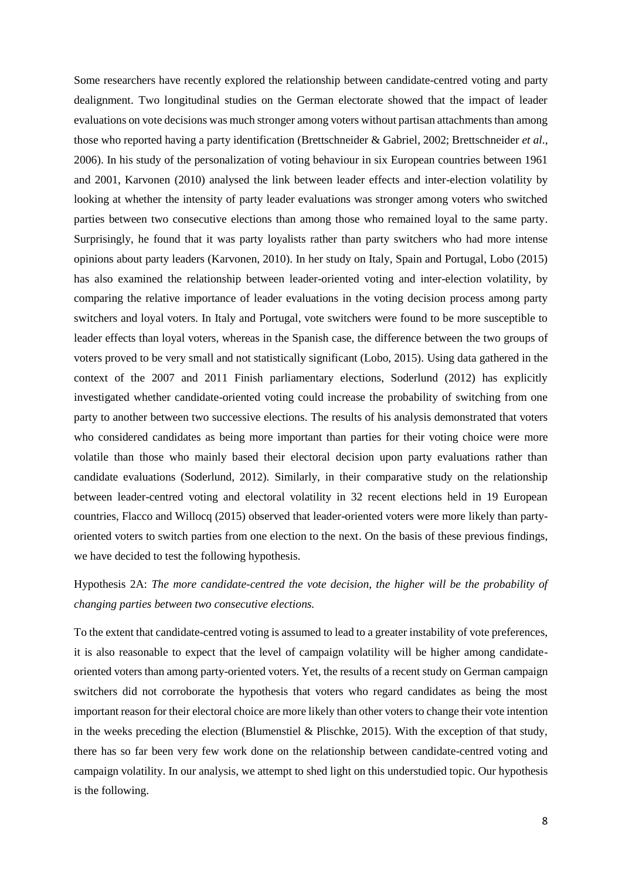Some researchers have recently explored the relationship between candidate-centred voting and party dealignment. Two longitudinal studies on the German electorate showed that the impact of leader evaluations on vote decisions was much stronger among voters without partisan attachments than among those who reported having a party identification (Brettschneider & Gabriel, 2002; Brettschneider *et al*., 2006). In his study of the personalization of voting behaviour in six European countries between 1961 and 2001, Karvonen (2010) analysed the link between leader effects and inter-election volatility by looking at whether the intensity of party leader evaluations was stronger among voters who switched parties between two consecutive elections than among those who remained loyal to the same party. Surprisingly, he found that it was party loyalists rather than party switchers who had more intense opinions about party leaders (Karvonen, 2010). In her study on Italy, Spain and Portugal, Lobo (2015) has also examined the relationship between leader-oriented voting and inter-election volatility, by comparing the relative importance of leader evaluations in the voting decision process among party switchers and loyal voters. In Italy and Portugal, vote switchers were found to be more susceptible to leader effects than loyal voters, whereas in the Spanish case, the difference between the two groups of voters proved to be very small and not statistically significant (Lobo, 2015). Using data gathered in the context of the 2007 and 2011 Finish parliamentary elections, Soderlund (2012) has explicitly investigated whether candidate-oriented voting could increase the probability of switching from one party to another between two successive elections. The results of his analysis demonstrated that voters who considered candidates as being more important than parties for their voting choice were more volatile than those who mainly based their electoral decision upon party evaluations rather than candidate evaluations (Soderlund, 2012). Similarly, in their comparative study on the relationship between leader-centred voting and electoral volatility in 32 recent elections held in 19 European countries, Flacco and Willocq (2015) observed that leader-oriented voters were more likely than partyoriented voters to switch parties from one election to the next. On the basis of these previous findings, we have decided to test the following hypothesis.

Hypothesis 2A: *The more candidate-centred the vote decision, the higher will be the probability of changing parties between two consecutive elections.*

To the extent that candidate-centred voting is assumed to lead to a greater instability of vote preferences, it is also reasonable to expect that the level of campaign volatility will be higher among candidateoriented voters than among party-oriented voters. Yet, the results of a recent study on German campaign switchers did not corroborate the hypothesis that voters who regard candidates as being the most important reason for their electoral choice are more likely than other voters to change their vote intention in the weeks preceding the election (Blumenstiel & Plischke, 2015). With the exception of that study, there has so far been very few work done on the relationship between candidate-centred voting and campaign volatility. In our analysis, we attempt to shed light on this understudied topic. Our hypothesis is the following.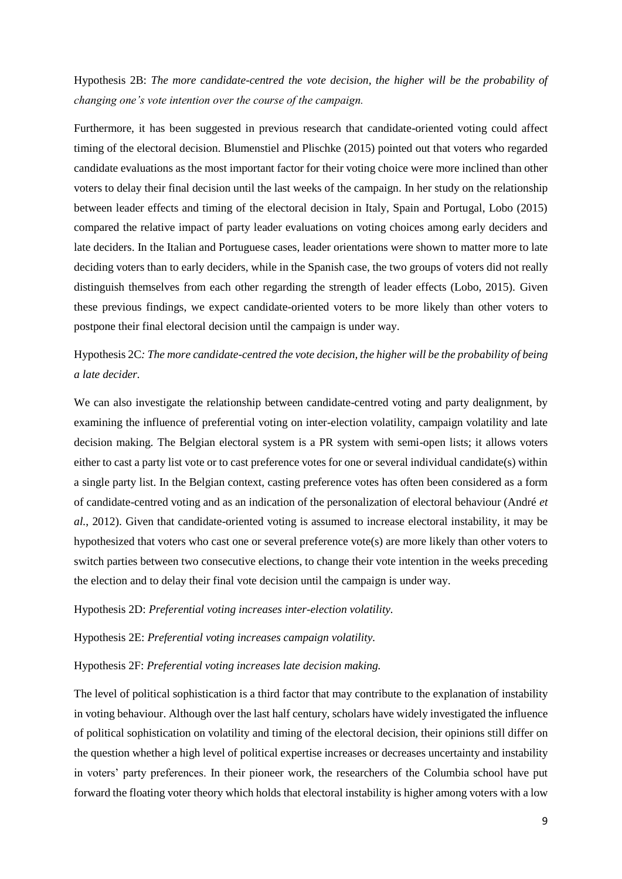Hypothesis 2B: *The more candidate-centred the vote decision, the higher will be the probability of changing one's vote intention over the course of the campaign.*

Furthermore, it has been suggested in previous research that candidate-oriented voting could affect timing of the electoral decision. Blumenstiel and Plischke (2015) pointed out that voters who regarded candidate evaluations as the most important factor for their voting choice were more inclined than other voters to delay their final decision until the last weeks of the campaign. In her study on the relationship between leader effects and timing of the electoral decision in Italy, Spain and Portugal, Lobo (2015) compared the relative impact of party leader evaluations on voting choices among early deciders and late deciders. In the Italian and Portuguese cases, leader orientations were shown to matter more to late deciding voters than to early deciders, while in the Spanish case, the two groups of voters did not really distinguish themselves from each other regarding the strength of leader effects (Lobo, 2015). Given these previous findings, we expect candidate-oriented voters to be more likely than other voters to postpone their final electoral decision until the campaign is under way.

# Hypothesis 2C*: The more candidate-centred the vote decision, the higher will be the probability of being a late decider.*

We can also investigate the relationship between candidate-centred voting and party dealignment, by examining the influence of preferential voting on inter-election volatility, campaign volatility and late decision making. The Belgian electoral system is a PR system with semi-open lists; it allows voters either to cast a party list vote or to cast preference votes for one or several individual candidate(s) within a single party list. In the Belgian context, casting preference votes has often been considered as a form of candidate-centred voting and as an indication of the personalization of electoral behaviour (André *et al.*, 2012). Given that candidate-oriented voting is assumed to increase electoral instability, it may be hypothesized that voters who cast one or several preference vote(s) are more likely than other voters to switch parties between two consecutive elections, to change their vote intention in the weeks preceding the election and to delay their final vote decision until the campaign is under way.

Hypothesis 2D: *Preferential voting increases inter-election volatility.*

Hypothesis 2E: *Preferential voting increases campaign volatility.*

Hypothesis 2F: *Preferential voting increases late decision making.*

The level of political sophistication is a third factor that may contribute to the explanation of instability in voting behaviour. Although over the last half century, scholars have widely investigated the influence of political sophistication on volatility and timing of the electoral decision, their opinions still differ on the question whether a high level of political expertise increases or decreases uncertainty and instability in voters' party preferences. In their pioneer work, the researchers of the Columbia school have put forward the floating voter theory which holds that electoral instability is higher among voters with a low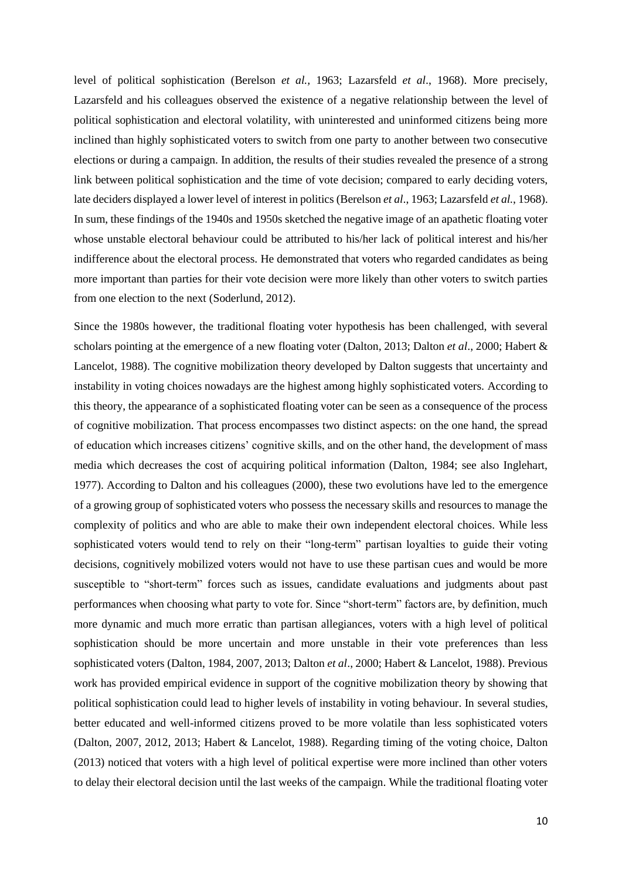level of political sophistication (Berelson *et al.,* 1963; Lazarsfeld *et al*., 1968). More precisely, Lazarsfeld and his colleagues observed the existence of a negative relationship between the level of political sophistication and electoral volatility, with uninterested and uninformed citizens being more inclined than highly sophisticated voters to switch from one party to another between two consecutive elections or during a campaign. In addition, the results of their studies revealed the presence of a strong link between political sophistication and the time of vote decision; compared to early deciding voters, late deciders displayed a lower level of interest in politics (Berelson *et al*., 1963; Lazarsfeld *et al.*, 1968). In sum, these findings of the 1940s and 1950s sketched the negative image of an apathetic floating voter whose unstable electoral behaviour could be attributed to his/her lack of political interest and his/her indifference about the electoral process. He demonstrated that voters who regarded candidates as being more important than parties for their vote decision were more likely than other voters to switch parties from one election to the next (Soderlund, 2012).

Since the 1980s however, the traditional floating voter hypothesis has been challenged, with several scholars pointing at the emergence of a new floating voter (Dalton, 2013; Dalton *et al*., 2000; Habert & Lancelot, 1988). The cognitive mobilization theory developed by Dalton suggests that uncertainty and instability in voting choices nowadays are the highest among highly sophisticated voters. According to this theory, the appearance of a sophisticated floating voter can be seen as a consequence of the process of cognitive mobilization. That process encompasses two distinct aspects: on the one hand, the spread of education which increases citizens' cognitive skills, and on the other hand, the development of mass media which decreases the cost of acquiring political information (Dalton, 1984; see also Inglehart, 1977). According to Dalton and his colleagues (2000), these two evolutions have led to the emergence of a growing group of sophisticated voters who possess the necessary skills and resources to manage the complexity of politics and who are able to make their own independent electoral choices. While less sophisticated voters would tend to rely on their "long-term" partisan loyalties to guide their voting decisions, cognitively mobilized voters would not have to use these partisan cues and would be more susceptible to "short-term" forces such as issues, candidate evaluations and judgments about past performances when choosing what party to vote for. Since "short-term" factors are, by definition, much more dynamic and much more erratic than partisan allegiances, voters with a high level of political sophistication should be more uncertain and more unstable in their vote preferences than less sophisticated voters (Dalton, 1984, 2007, 2013; Dalton *et al*., 2000; Habert & Lancelot, 1988). Previous work has provided empirical evidence in support of the cognitive mobilization theory by showing that political sophistication could lead to higher levels of instability in voting behaviour. In several studies, better educated and well-informed citizens proved to be more volatile than less sophisticated voters (Dalton, 2007, 2012, 2013; Habert & Lancelot, 1988). Regarding timing of the voting choice, Dalton (2013) noticed that voters with a high level of political expertise were more inclined than other voters to delay their electoral decision until the last weeks of the campaign. While the traditional floating voter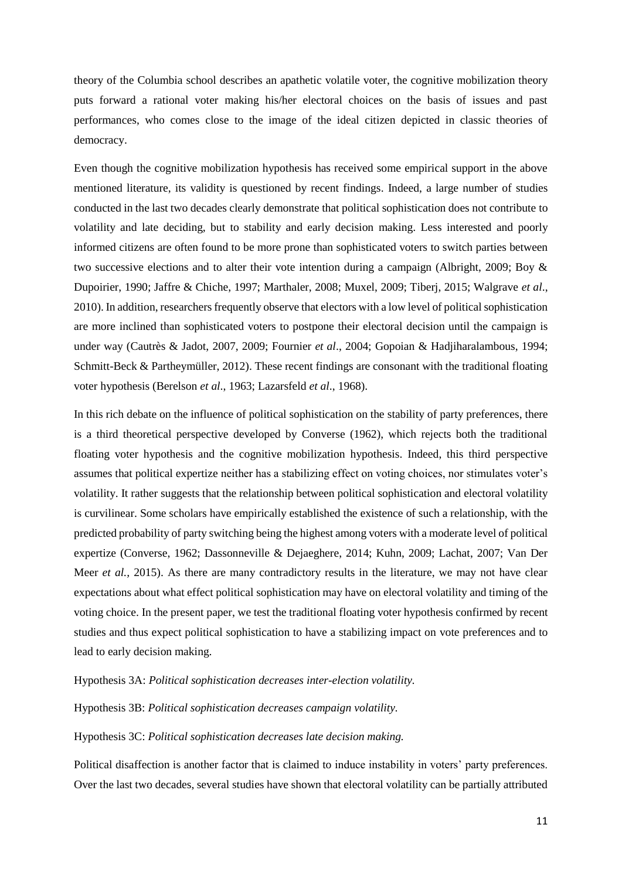theory of the Columbia school describes an apathetic volatile voter, the cognitive mobilization theory puts forward a rational voter making his/her electoral choices on the basis of issues and past performances, who comes close to the image of the ideal citizen depicted in classic theories of democracy.

Even though the cognitive mobilization hypothesis has received some empirical support in the above mentioned literature, its validity is questioned by recent findings. Indeed, a large number of studies conducted in the last two decades clearly demonstrate that political sophistication does not contribute to volatility and late deciding, but to stability and early decision making. Less interested and poorly informed citizens are often found to be more prone than sophisticated voters to switch parties between two successive elections and to alter their vote intention during a campaign (Albright, 2009; Boy & Dupoirier, 1990; Jaffre & Chiche, 1997; Marthaler, 2008; Muxel, 2009; Tiberj, 2015; Walgrave *et al*., 2010). In addition, researchers frequently observe that electors with a low level of political sophistication are more inclined than sophisticated voters to postpone their electoral decision until the campaign is under way (Cautrès & Jadot, 2007, 2009; Fournier *et al*., 2004; Gopoian & Hadjiharalambous, 1994; Schmitt-Beck & Partheymüller, 2012). These recent findings are consonant with the traditional floating voter hypothesis (Berelson *et al*., 1963; Lazarsfeld *et al*., 1968).

In this rich debate on the influence of political sophistication on the stability of party preferences, there is a third theoretical perspective developed by Converse (1962), which rejects both the traditional floating voter hypothesis and the cognitive mobilization hypothesis. Indeed, this third perspective assumes that political expertize neither has a stabilizing effect on voting choices, nor stimulates voter's volatility. It rather suggests that the relationship between political sophistication and electoral volatility is curvilinear. Some scholars have empirically established the existence of such a relationship, with the predicted probability of party switching being the highest among voters with a moderate level of political expertize (Converse, 1962; Dassonneville & Dejaeghere, 2014; Kuhn, 2009; Lachat, 2007; Van Der Meer *et al.*, 2015). As there are many contradictory results in the literature, we may not have clear expectations about what effect political sophistication may have on electoral volatility and timing of the voting choice. In the present paper, we test the traditional floating voter hypothesis confirmed by recent studies and thus expect political sophistication to have a stabilizing impact on vote preferences and to lead to early decision making.

# Hypothesis 3A: *Political sophistication decreases inter-election volatility.*

Hypothesis 3B: *Political sophistication decreases campaign volatility.*

# Hypothesis 3C: *Political sophistication decreases late decision making.*

Political disaffection is another factor that is claimed to induce instability in voters' party preferences. Over the last two decades, several studies have shown that electoral volatility can be partially attributed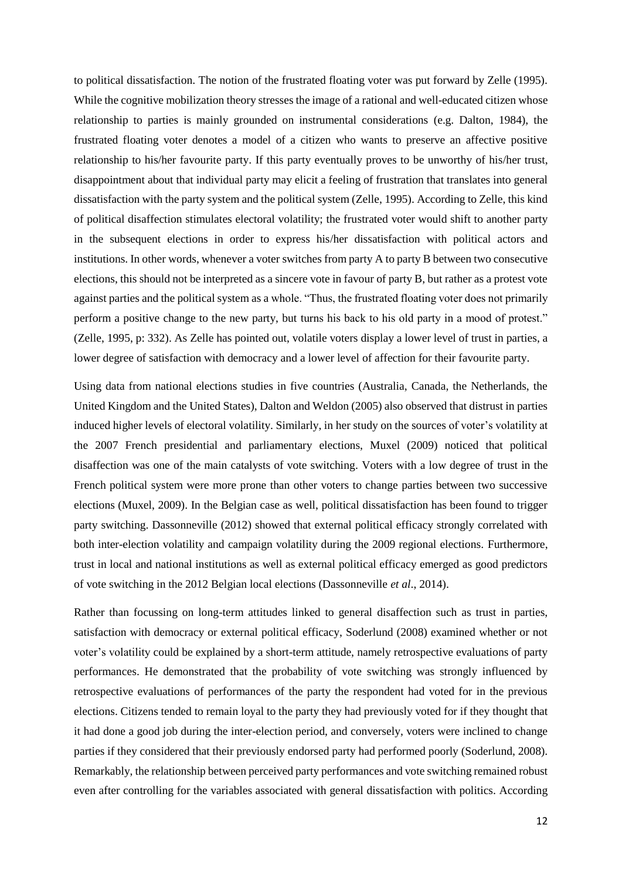to political dissatisfaction. The notion of the frustrated floating voter was put forward by Zelle (1995). While the cognitive mobilization theory stresses the image of a rational and well-educated citizen whose relationship to parties is mainly grounded on instrumental considerations (e.g. Dalton, 1984), the frustrated floating voter denotes a model of a citizen who wants to preserve an affective positive relationship to his/her favourite party. If this party eventually proves to be unworthy of his/her trust, disappointment about that individual party may elicit a feeling of frustration that translates into general dissatisfaction with the party system and the political system (Zelle, 1995). According to Zelle, this kind of political disaffection stimulates electoral volatility; the frustrated voter would shift to another party in the subsequent elections in order to express his/her dissatisfaction with political actors and institutions. In other words, whenever a voter switches from party A to party B between two consecutive elections, this should not be interpreted as a sincere vote in favour of party B, but rather as a protest vote against parties and the political system as a whole. "Thus, the frustrated floating voter does not primarily perform a positive change to the new party, but turns his back to his old party in a mood of protest." (Zelle, 1995, p: 332). As Zelle has pointed out, volatile voters display a lower level of trust in parties, a lower degree of satisfaction with democracy and a lower level of affection for their favourite party.

Using data from national elections studies in five countries (Australia, Canada, the Netherlands, the United Kingdom and the United States), Dalton and Weldon (2005) also observed that distrust in parties induced higher levels of electoral volatility. Similarly, in her study on the sources of voter's volatility at the 2007 French presidential and parliamentary elections, Muxel (2009) noticed that political disaffection was one of the main catalysts of vote switching. Voters with a low degree of trust in the French political system were more prone than other voters to change parties between two successive elections (Muxel, 2009). In the Belgian case as well, political dissatisfaction has been found to trigger party switching. Dassonneville (2012) showed that external political efficacy strongly correlated with both inter-election volatility and campaign volatility during the 2009 regional elections. Furthermore, trust in local and national institutions as well as external political efficacy emerged as good predictors of vote switching in the 2012 Belgian local elections (Dassonneville *et al*., 2014).

Rather than focussing on long-term attitudes linked to general disaffection such as trust in parties, satisfaction with democracy or external political efficacy, Soderlund (2008) examined whether or not voter's volatility could be explained by a short-term attitude, namely retrospective evaluations of party performances. He demonstrated that the probability of vote switching was strongly influenced by retrospective evaluations of performances of the party the respondent had voted for in the previous elections. Citizens tended to remain loyal to the party they had previously voted for if they thought that it had done a good job during the inter-election period, and conversely, voters were inclined to change parties if they considered that their previously endorsed party had performed poorly (Soderlund, 2008). Remarkably, the relationship between perceived party performances and vote switching remained robust even after controlling for the variables associated with general dissatisfaction with politics. According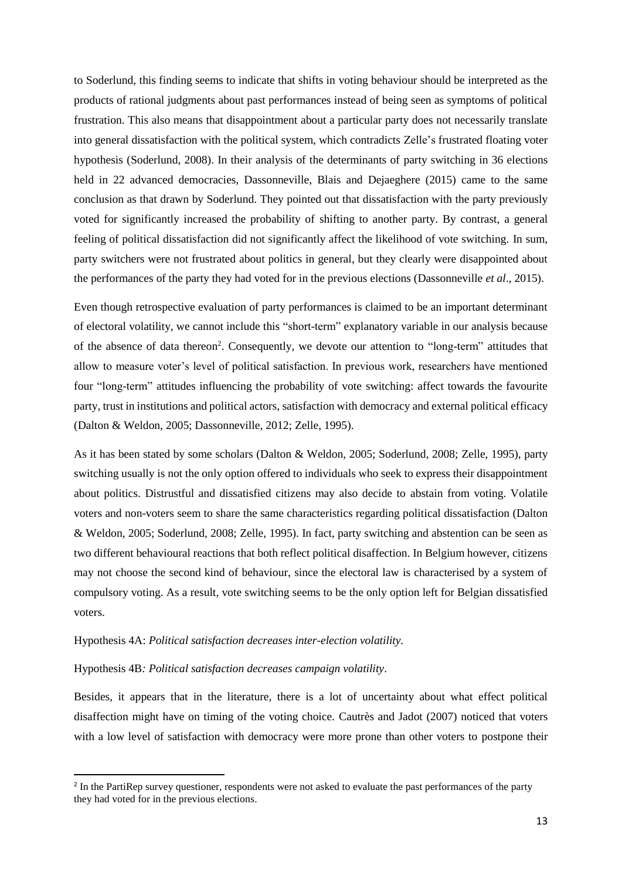to Soderlund, this finding seems to indicate that shifts in voting behaviour should be interpreted as the products of rational judgments about past performances instead of being seen as symptoms of political frustration. This also means that disappointment about a particular party does not necessarily translate into general dissatisfaction with the political system, which contradicts Zelle's frustrated floating voter hypothesis (Soderlund, 2008). In their analysis of the determinants of party switching in 36 elections held in 22 advanced democracies, Dassonneville, Blais and Dejaeghere (2015) came to the same conclusion as that drawn by Soderlund. They pointed out that dissatisfaction with the party previously voted for significantly increased the probability of shifting to another party. By contrast, a general feeling of political dissatisfaction did not significantly affect the likelihood of vote switching. In sum, party switchers were not frustrated about politics in general, but they clearly were disappointed about the performances of the party they had voted for in the previous elections (Dassonneville *et al*., 2015).

Even though retrospective evaluation of party performances is claimed to be an important determinant of electoral volatility, we cannot include this "short-term" explanatory variable in our analysis because of the absence of data thereon<sup>2</sup>. Consequently, we devote our attention to "long-term" attitudes that allow to measure voter's level of political satisfaction. In previous work, researchers have mentioned four "long-term" attitudes influencing the probability of vote switching: affect towards the favourite party, trust in institutions and political actors, satisfaction with democracy and external political efficacy (Dalton & Weldon, 2005; Dassonneville, 2012; Zelle, 1995).

As it has been stated by some scholars (Dalton & Weldon, 2005; Soderlund, 2008; Zelle, 1995), party switching usually is not the only option offered to individuals who seek to express their disappointment about politics. Distrustful and dissatisfied citizens may also decide to abstain from voting. Volatile voters and non-voters seem to share the same characteristics regarding political dissatisfaction (Dalton & Weldon, 2005; Soderlund, 2008; Zelle, 1995). In fact, party switching and abstention can be seen as two different behavioural reactions that both reflect political disaffection. In Belgium however, citizens may not choose the second kind of behaviour, since the electoral law is characterised by a system of compulsory voting. As a result, vote switching seems to be the only option left for Belgian dissatisfied voters.

## Hypothesis 4A: *Political satisfaction decreases inter-election volatility.*

## Hypothesis 4B*: Political satisfaction decreases campaign volatility*.

1

Besides, it appears that in the literature, there is a lot of uncertainty about what effect political disaffection might have on timing of the voting choice. Cautrès and Jadot (2007) noticed that voters with a low level of satisfaction with democracy were more prone than other voters to postpone their

<sup>&</sup>lt;sup>2</sup> In the PartiRep survey questioner, respondents were not asked to evaluate the past performances of the party they had voted for in the previous elections.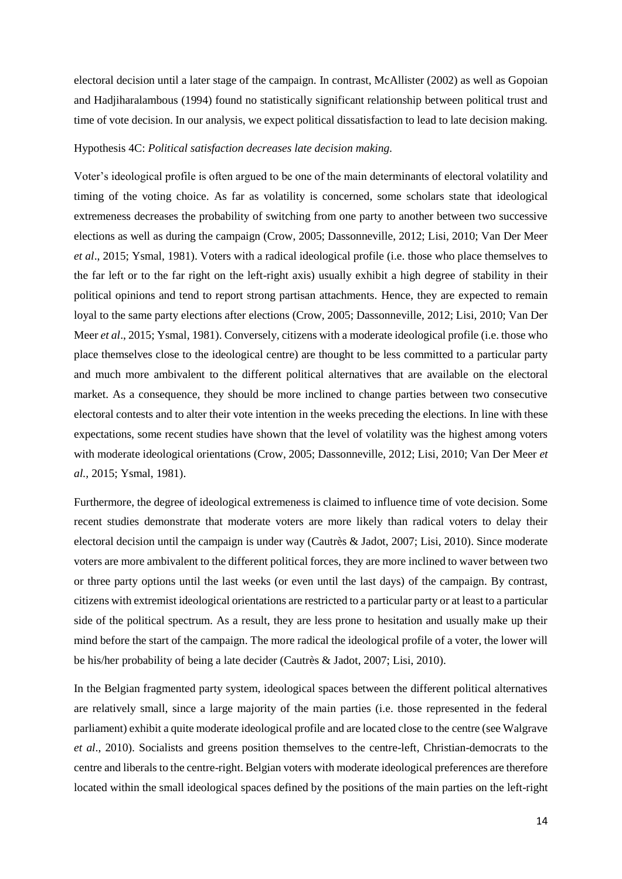electoral decision until a later stage of the campaign. In contrast, McAllister (2002) as well as Gopoian and Hadjiharalambous (1994) found no statistically significant relationship between political trust and time of vote decision. In our analysis, we expect political dissatisfaction to lead to late decision making.

## Hypothesis 4C: *Political satisfaction decreases late decision making.*

Voter's ideological profile is often argued to be one of the main determinants of electoral volatility and timing of the voting choice. As far as volatility is concerned, some scholars state that ideological extremeness decreases the probability of switching from one party to another between two successive elections as well as during the campaign (Crow, 2005; Dassonneville, 2012; Lisi, 2010; Van Der Meer *et al*., 2015; Ysmal, 1981). Voters with a radical ideological profile (i.e. those who place themselves to the far left or to the far right on the left-right axis) usually exhibit a high degree of stability in their political opinions and tend to report strong partisan attachments. Hence, they are expected to remain loyal to the same party elections after elections (Crow, 2005; Dassonneville, 2012; Lisi, 2010; Van Der Meer *et al*., 2015; Ysmal, 1981). Conversely, citizens with a moderate ideological profile (i.e. those who place themselves close to the ideological centre) are thought to be less committed to a particular party and much more ambivalent to the different political alternatives that are available on the electoral market. As a consequence, they should be more inclined to change parties between two consecutive electoral contests and to alter their vote intention in the weeks preceding the elections. In line with these expectations, some recent studies have shown that the level of volatility was the highest among voters with moderate ideological orientations (Crow, 2005; Dassonneville, 2012; Lisi, 2010; Van Der Meer *et al.,* 2015; Ysmal, 1981).

Furthermore, the degree of ideological extremeness is claimed to influence time of vote decision. Some recent studies demonstrate that moderate voters are more likely than radical voters to delay their electoral decision until the campaign is under way (Cautrès & Jadot, 2007; Lisi, 2010). Since moderate voters are more ambivalent to the different political forces, they are more inclined to waver between two or three party options until the last weeks (or even until the last days) of the campaign. By contrast, citizens with extremist ideological orientations are restricted to a particular party or at least to a particular side of the political spectrum. As a result, they are less prone to hesitation and usually make up their mind before the start of the campaign. The more radical the ideological profile of a voter, the lower will be his/her probability of being a late decider (Cautrès & Jadot, 2007; Lisi, 2010).

In the Belgian fragmented party system, ideological spaces between the different political alternatives are relatively small, since a large majority of the main parties (i.e. those represented in the federal parliament) exhibit a quite moderate ideological profile and are located close to the centre (see Walgrave *et al*., 2010). Socialists and greens position themselves to the centre-left, Christian-democrats to the centre and liberals to the centre-right. Belgian voters with moderate ideological preferences are therefore located within the small ideological spaces defined by the positions of the main parties on the left-right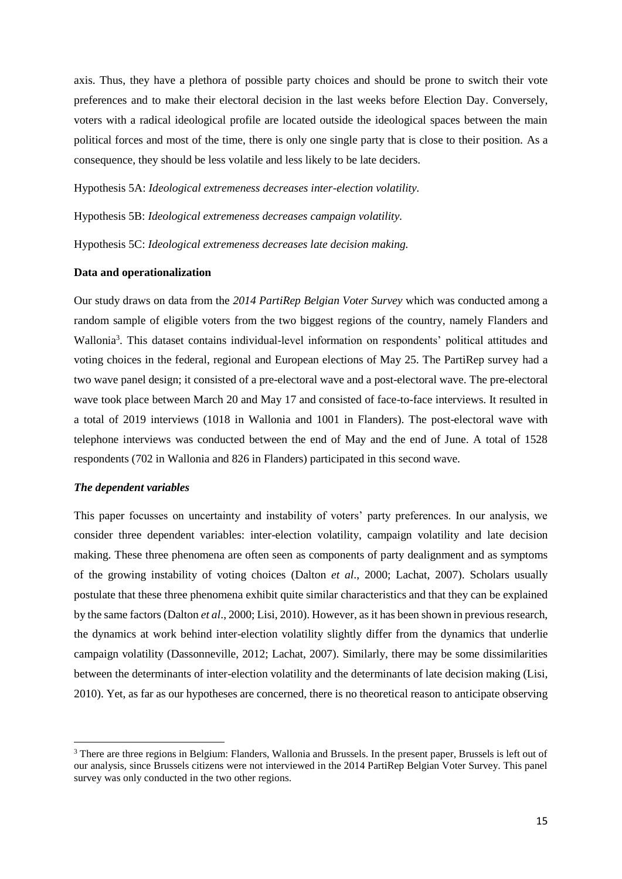axis. Thus, they have a plethora of possible party choices and should be prone to switch their vote preferences and to make their electoral decision in the last weeks before Election Day. Conversely, voters with a radical ideological profile are located outside the ideological spaces between the main political forces and most of the time, there is only one single party that is close to their position. As a consequence, they should be less volatile and less likely to be late deciders.

Hypothesis 5A: *Ideological extremeness decreases inter-election volatility.*

Hypothesis 5B: *Ideological extremeness decreases campaign volatility.*

Hypothesis 5C: *Ideological extremeness decreases late decision making.*

#### **Data and operationalization**

Our study draws on data from the *2014 PartiRep Belgian Voter Survey* which was conducted among a random sample of eligible voters from the two biggest regions of the country, namely Flanders and Wallonia<sup>3</sup>. This dataset contains individual-level information on respondents' political attitudes and voting choices in the federal, regional and European elections of May 25. The PartiRep survey had a two wave panel design; it consisted of a pre-electoral wave and a post-electoral wave. The pre-electoral wave took place between March 20 and May 17 and consisted of face-to-face interviews. It resulted in a total of 2019 interviews (1018 in Wallonia and 1001 in Flanders). The post-electoral wave with telephone interviews was conducted between the end of May and the end of June. A total of 1528 respondents (702 in Wallonia and 826 in Flanders) participated in this second wave.

#### *The dependent variables*

**.** 

This paper focusses on uncertainty and instability of voters' party preferences. In our analysis, we consider three dependent variables: inter-election volatility, campaign volatility and late decision making. These three phenomena are often seen as components of party dealignment and as symptoms of the growing instability of voting choices (Dalton *et al*., 2000; Lachat, 2007). Scholars usually postulate that these three phenomena exhibit quite similar characteristics and that they can be explained by the same factors (Dalton *et al*., 2000; Lisi, 2010). However, as it has been shown in previous research, the dynamics at work behind inter-election volatility slightly differ from the dynamics that underlie campaign volatility (Dassonneville, 2012; Lachat, 2007). Similarly, there may be some dissimilarities between the determinants of inter-election volatility and the determinants of late decision making (Lisi, 2010). Yet, as far as our hypotheses are concerned, there is no theoretical reason to anticipate observing

<sup>&</sup>lt;sup>3</sup> There are three regions in Belgium: Flanders, Wallonia and Brussels. In the present paper, Brussels is left out of our analysis, since Brussels citizens were not interviewed in the 2014 PartiRep Belgian Voter Survey. This panel survey was only conducted in the two other regions.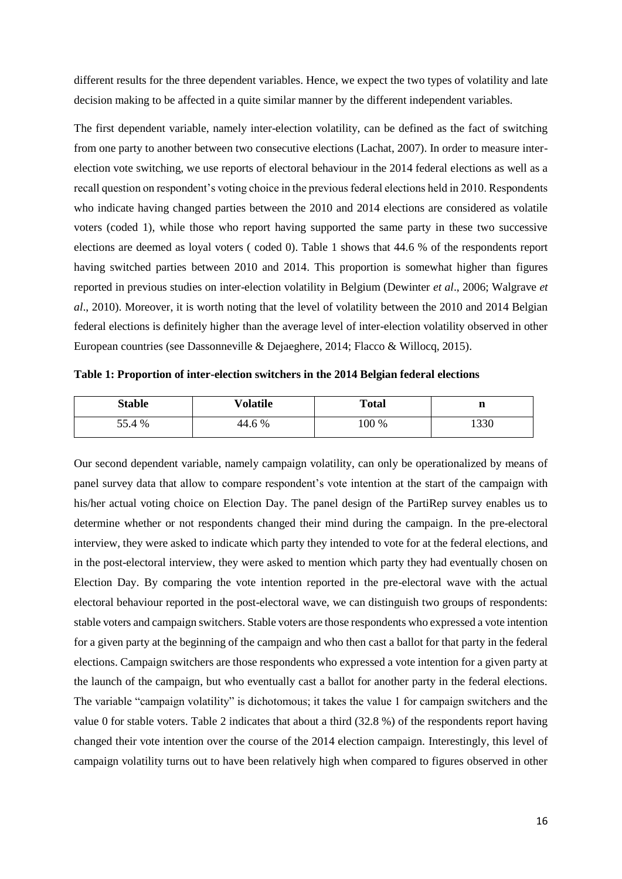different results for the three dependent variables. Hence, we expect the two types of volatility and late decision making to be affected in a quite similar manner by the different independent variables.

The first dependent variable, namely inter-election volatility, can be defined as the fact of switching from one party to another between two consecutive elections (Lachat, 2007). In order to measure interelection vote switching, we use reports of electoral behaviour in the 2014 federal elections as well as a recall question on respondent's voting choice in the previous federal elections held in 2010. Respondents who indicate having changed parties between the 2010 and 2014 elections are considered as volatile voters (coded 1), while those who report having supported the same party in these two successive elections are deemed as loyal voters ( coded 0). Table 1 shows that 44.6 % of the respondents report having switched parties between 2010 and 2014. This proportion is somewhat higher than figures reported in previous studies on inter-election volatility in Belgium (Dewinter *et al*., 2006; Walgrave *et al*., 2010). Moreover, it is worth noting that the level of volatility between the 2010 and 2014 Belgian federal elections is definitely higher than the average level of inter-election volatility observed in other European countries (see Dassonneville & Dejaeghere, 2014; Flacco & Willocq, 2015).

| Table 1: Proportion of inter-election switchers in the 2014 Belgian federal elections |  |  |  |
|---------------------------------------------------------------------------------------|--|--|--|
|                                                                                       |  |  |  |

| <b>Stable</b> | Volatile | <b>Total</b> | n    |
|---------------|----------|--------------|------|
| 55.4 %        | 44.6 %   | 100 %        | 1330 |

Our second dependent variable, namely campaign volatility, can only be operationalized by means of panel survey data that allow to compare respondent's vote intention at the start of the campaign with his/her actual voting choice on Election Day. The panel design of the PartiRep survey enables us to determine whether or not respondents changed their mind during the campaign. In the pre-electoral interview, they were asked to indicate which party they intended to vote for at the federal elections, and in the post-electoral interview, they were asked to mention which party they had eventually chosen on Election Day. By comparing the vote intention reported in the pre-electoral wave with the actual electoral behaviour reported in the post-electoral wave, we can distinguish two groups of respondents: stable voters and campaign switchers. Stable voters are those respondents who expressed a vote intention for a given party at the beginning of the campaign and who then cast a ballot for that party in the federal elections. Campaign switchers are those respondents who expressed a vote intention for a given party at the launch of the campaign, but who eventually cast a ballot for another party in the federal elections. The variable "campaign volatility" is dichotomous; it takes the value 1 for campaign switchers and the value 0 for stable voters. Table 2 indicates that about a third (32.8 %) of the respondents report having changed their vote intention over the course of the 2014 election campaign. Interestingly, this level of campaign volatility turns out to have been relatively high when compared to figures observed in other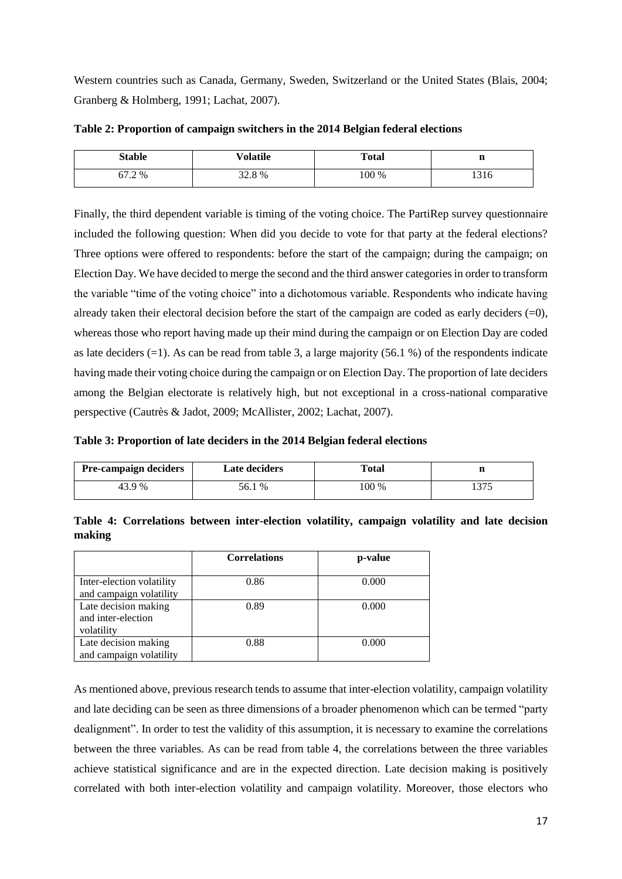Western countries such as Canada, Germany, Sweden, Switzerland or the United States (Blais, 2004; Granberg & Holmberg, 1991; Lachat, 2007).

| <b>Stable</b> | Volatile | <b>Total</b> | n    |
|---------------|----------|--------------|------|
| 67.2 %        | 32.8%    | 100 %        | 1316 |

**Table 2: Proportion of campaign switchers in the 2014 Belgian federal elections**

Finally, the third dependent variable is timing of the voting choice. The PartiRep survey questionnaire included the following question: When did you decide to vote for that party at the federal elections? Three options were offered to respondents: before the start of the campaign; during the campaign; on Election Day. We have decided to merge the second and the third answer categories in order to transform the variable "time of the voting choice" into a dichotomous variable. Respondents who indicate having already taken their electoral decision before the start of the campaign are coded as early deciders  $(=0)$ , whereas those who report having made up their mind during the campaign or on Election Day are coded as late deciders  $(=1)$ . As can be read from table 3, a large majority (56.1 %) of the respondents indicate having made their voting choice during the campaign or on Election Day. The proportion of late deciders among the Belgian electorate is relatively high, but not exceptional in a cross-national comparative perspective (Cautrès & Jadot, 2009; McAllister, 2002; Lachat, 2007).

**Table 3: Proportion of late deciders in the 2014 Belgian federal elections**

| <b>Pre-campaign deciders</b> | <b>Late deciders</b>            | <b>Total</b> |     |
|------------------------------|---------------------------------|--------------|-----|
| 43.9 %                       | $\frac{9}{6}$<br>$20.1^{\circ}$ | 100 %        | 275 |

**Table 4: Correlations between inter-election volatility, campaign volatility and late decision making** 

|                                                          | <b>Correlations</b> | p-value |
|----------------------------------------------------------|---------------------|---------|
| Inter-election volatility<br>and campaign volatility     | 0.86                | 0.000   |
| Late decision making<br>and inter-election<br>volatility | 0.89                | 0.000   |
| Late decision making<br>and campaign volatility          | 0.88                | 0.000   |

As mentioned above, previous research tends to assume that inter-election volatility, campaign volatility and late deciding can be seen as three dimensions of a broader phenomenon which can be termed "party dealignment". In order to test the validity of this assumption, it is necessary to examine the correlations between the three variables. As can be read from table 4, the correlations between the three variables achieve statistical significance and are in the expected direction. Late decision making is positively correlated with both inter-election volatility and campaign volatility. Moreover, those electors who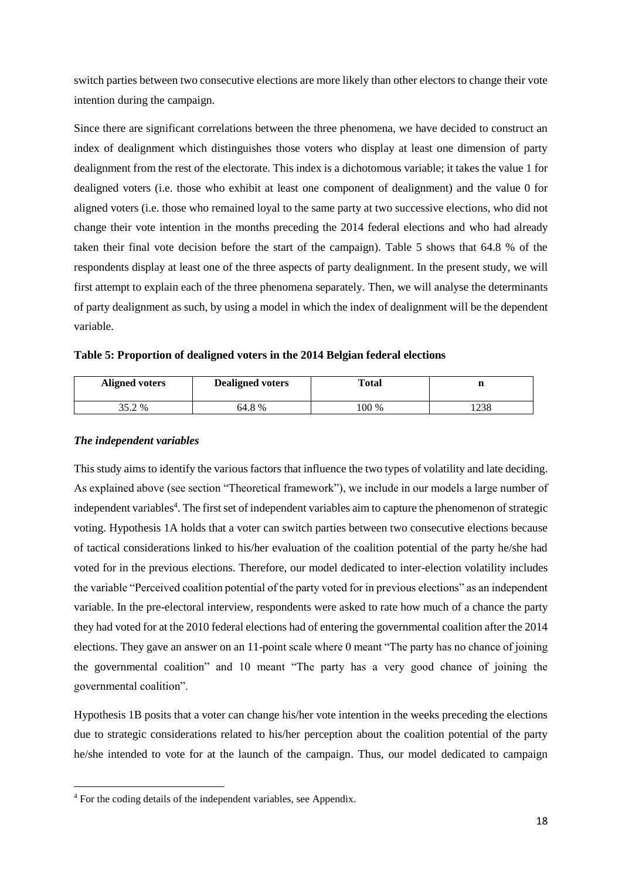switch parties between two consecutive elections are more likely than other electors to change their vote intention during the campaign.

Since there are significant correlations between the three phenomena, we have decided to construct an index of dealignment which distinguishes those voters who display at least one dimension of party dealignment from the rest of the electorate. This index is a dichotomous variable; it takes the value 1 for dealigned voters (i.e. those who exhibit at least one component of dealignment) and the value 0 for aligned voters (i.e. those who remained loyal to the same party at two successive elections, who did not change their vote intention in the months preceding the 2014 federal elections and who had already taken their final vote decision before the start of the campaign). Table 5 shows that 64.8 % of the respondents display at least one of the three aspects of party dealignment. In the present study, we will first attempt to explain each of the three phenomena separately. Then, we will analyse the determinants of party dealignment as such, by using a model in which the index of dealignment will be the dependent variable.

**Table 5: Proportion of dealigned voters in the 2014 Belgian federal elections**

| <b>Aligned voters</b> | <b>Dealigned voters</b> | <b>Total</b> | n    |
|-----------------------|-------------------------|--------------|------|
| 35.2 %                | 64.8%                   | 100 %        | 1238 |

## *The independent variables*

**.** 

This study aims to identify the various factors that influence the two types of volatility and late deciding. As explained above (see section "Theoretical framework"), we include in our models a large number of independent variables<sup>4</sup>. The first set of independent variables aim to capture the phenomenon of strategic voting. Hypothesis 1A holds that a voter can switch parties between two consecutive elections because of tactical considerations linked to his/her evaluation of the coalition potential of the party he/she had voted for in the previous elections. Therefore, our model dedicated to inter-election volatility includes the variable "Perceived coalition potential of the party voted for in previous elections" as an independent variable. In the pre-electoral interview, respondents were asked to rate how much of a chance the party they had voted for at the 2010 federal elections had of entering the governmental coalition after the 2014 elections. They gave an answer on an 11-point scale where 0 meant "The party has no chance of joining the governmental coalition" and 10 meant "The party has a very good chance of joining the governmental coalition".

Hypothesis 1B posits that a voter can change his/her vote intention in the weeks preceding the elections due to strategic considerations related to his/her perception about the coalition potential of the party he/she intended to vote for at the launch of the campaign. Thus, our model dedicated to campaign

<sup>4</sup> For the coding details of the independent variables, see Appendix.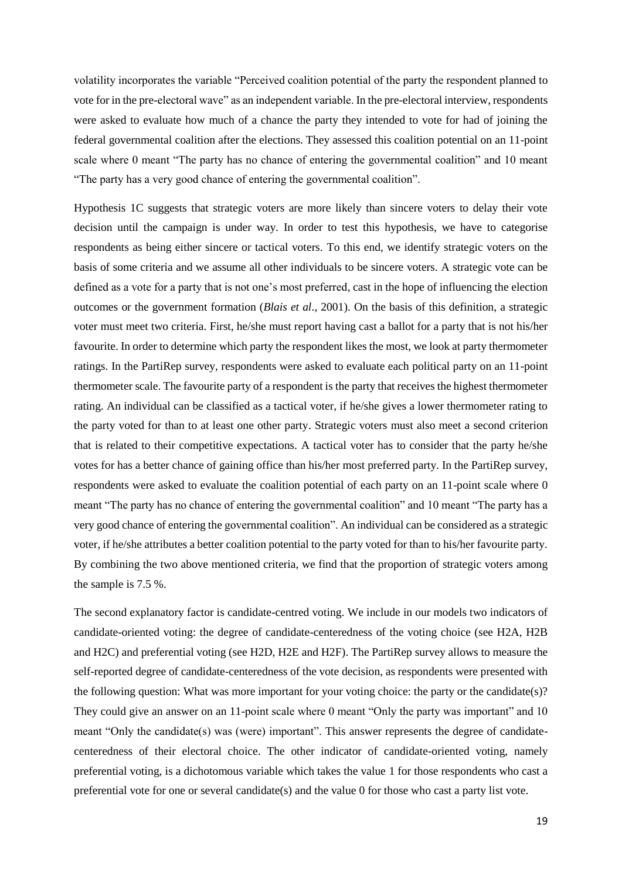volatility incorporates the variable "Perceived coalition potential of the party the respondent planned to vote for in the pre-electoral wave" as an independent variable. In the pre-electoral interview, respondents were asked to evaluate how much of a chance the party they intended to vote for had of joining the federal governmental coalition after the elections. They assessed this coalition potential on an 11-point scale where 0 meant "The party has no chance of entering the governmental coalition" and 10 meant "The party has a very good chance of entering the governmental coalition".

Hypothesis 1C suggests that strategic voters are more likely than sincere voters to delay their vote decision until the campaign is under way. In order to test this hypothesis, we have to categorise respondents as being either sincere or tactical voters. To this end, we identify strategic voters on the basis of some criteria and we assume all other individuals to be sincere voters. A strategic vote can be defined as a vote for a party that is not one's most preferred, cast in the hope of influencing the election outcomes or the government formation (*Blais et al*., 2001). On the basis of this definition, a strategic voter must meet two criteria. First, he/she must report having cast a ballot for a party that is not his/her favourite. In order to determine which party the respondent likes the most, we look at party thermometer ratings. In the PartiRep survey, respondents were asked to evaluate each political party on an 11-point thermometer scale. The favourite party of a respondent is the party that receives the highest thermometer rating. An individual can be classified as a tactical voter, if he/she gives a lower thermometer rating to the party voted for than to at least one other party. Strategic voters must also meet a second criterion that is related to their competitive expectations. A tactical voter has to consider that the party he/she votes for has a better chance of gaining office than his/her most preferred party. In the PartiRep survey, respondents were asked to evaluate the coalition potential of each party on an 11-point scale where 0 meant "The party has no chance of entering the governmental coalition" and 10 meant "The party has a very good chance of entering the governmental coalition". An individual can be considered as a strategic voter, if he/she attributes a better coalition potential to the party voted for than to his/her favourite party. By combining the two above mentioned criteria, we find that the proportion of strategic voters among the sample is 7.5 %.

The second explanatory factor is candidate-centred voting. We include in our models two indicators of candidate-oriented voting: the degree of candidate-centeredness of the voting choice (see H2A, H2B and H2C) and preferential voting (see H2D, H2E and H2F). The PartiRep survey allows to measure the self-reported degree of candidate-centeredness of the vote decision, as respondents were presented with the following question: What was more important for your voting choice: the party or the candidate(s)? They could give an answer on an 11-point scale where 0 meant "Only the party was important" and 10 meant "Only the candidate(s) was (were) important". This answer represents the degree of candidatecenteredness of their electoral choice. The other indicator of candidate-oriented voting, namely preferential voting, is a dichotomous variable which takes the value 1 for those respondents who cast a preferential vote for one or several candidate(s) and the value 0 for those who cast a party list vote.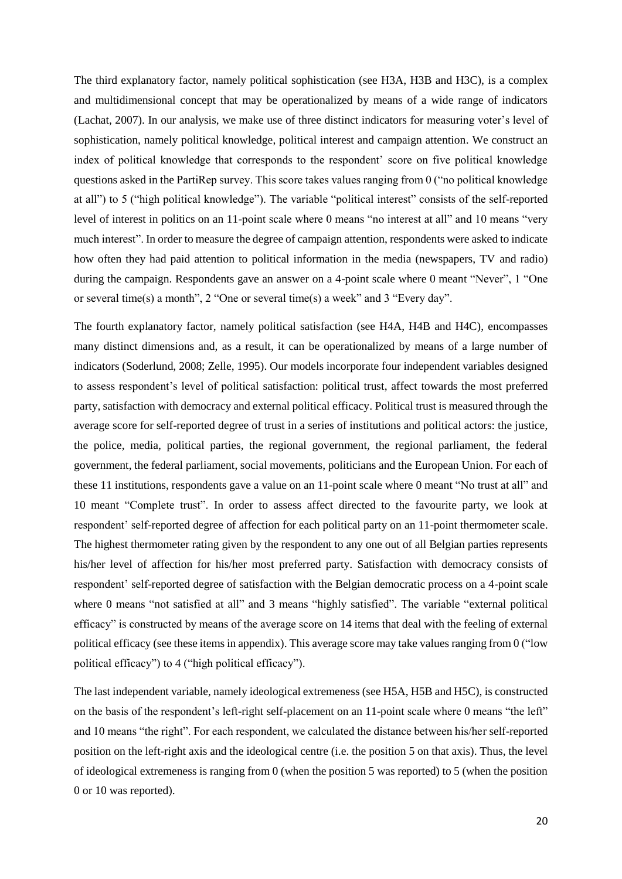The third explanatory factor, namely political sophistication (see H3A, H3B and H3C), is a complex and multidimensional concept that may be operationalized by means of a wide range of indicators (Lachat, 2007). In our analysis, we make use of three distinct indicators for measuring voter's level of sophistication, namely political knowledge, political interest and campaign attention. We construct an index of political knowledge that corresponds to the respondent' score on five political knowledge questions asked in the PartiRep survey. This score takes values ranging from 0 ("no political knowledge at all") to 5 ("high political knowledge"). The variable "political interest" consists of the self-reported level of interest in politics on an 11-point scale where 0 means "no interest at all" and 10 means "very much interest". In order to measure the degree of campaign attention, respondents were asked to indicate how often they had paid attention to political information in the media (newspapers, TV and radio) during the campaign. Respondents gave an answer on a 4-point scale where 0 meant "Never", 1 "One or several time(s) a month", 2 "One or several time(s) a week" and 3 "Every day".

The fourth explanatory factor, namely political satisfaction (see H4A, H4B and H4C), encompasses many distinct dimensions and, as a result, it can be operationalized by means of a large number of indicators (Soderlund, 2008; Zelle, 1995). Our models incorporate four independent variables designed to assess respondent's level of political satisfaction: political trust, affect towards the most preferred party, satisfaction with democracy and external political efficacy. Political trust is measured through the average score for self-reported degree of trust in a series of institutions and political actors: the justice, the police, media, political parties, the regional government, the regional parliament, the federal government, the federal parliament, social movements, politicians and the European Union. For each of these 11 institutions, respondents gave a value on an 11-point scale where 0 meant "No trust at all" and 10 meant "Complete trust". In order to assess affect directed to the favourite party, we look at respondent' self-reported degree of affection for each political party on an 11-point thermometer scale. The highest thermometer rating given by the respondent to any one out of all Belgian parties represents his/her level of affection for his/her most preferred party. Satisfaction with democracy consists of respondent' self-reported degree of satisfaction with the Belgian democratic process on a 4-point scale where 0 means "not satisfied at all" and 3 means "highly satisfied". The variable "external political efficacy" is constructed by means of the average score on 14 items that deal with the feeling of external political efficacy (see these items in appendix). This average score may take values ranging from 0 ("low political efficacy") to 4 ("high political efficacy").

The last independent variable, namely ideological extremeness (see H5A, H5B and H5C), is constructed on the basis of the respondent's left-right self-placement on an 11-point scale where 0 means "the left" and 10 means "the right". For each respondent, we calculated the distance between his/her self-reported position on the left-right axis and the ideological centre (i.e. the position 5 on that axis). Thus, the level of ideological extremeness is ranging from 0 (when the position 5 was reported) to 5 (when the position 0 or 10 was reported).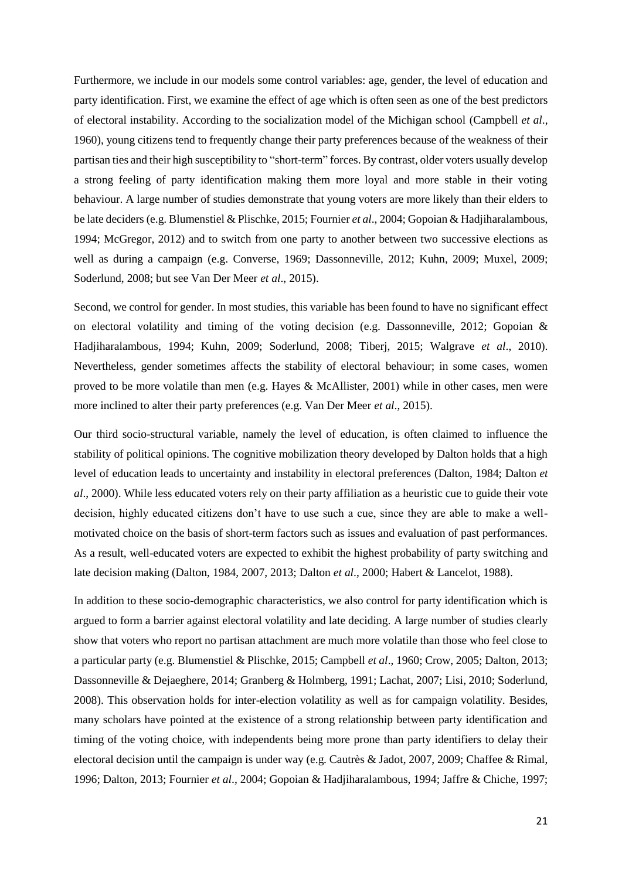Furthermore, we include in our models some control variables: age, gender, the level of education and party identification. First, we examine the effect of age which is often seen as one of the best predictors of electoral instability. According to the socialization model of the Michigan school (Campbell *et al*., 1960), young citizens tend to frequently change their party preferences because of the weakness of their partisan ties and their high susceptibility to "short-term" forces. By contrast, older voters usually develop a strong feeling of party identification making them more loyal and more stable in their voting behaviour. A large number of studies demonstrate that young voters are more likely than their elders to be late deciders (e.g. Blumenstiel & Plischke, 2015; Fournier *et al*., 2004; Gopoian & Hadjiharalambous, 1994; McGregor, 2012) and to switch from one party to another between two successive elections as well as during a campaign (e.g. Converse, 1969; Dassonneville, 2012; Kuhn, 2009; Muxel, 2009; Soderlund, 2008; but see Van Der Meer *et al*., 2015).

Second, we control for gender. In most studies, this variable has been found to have no significant effect on electoral volatility and timing of the voting decision (e.g. Dassonneville, 2012; Gopoian & Hadjiharalambous, 1994; Kuhn, 2009; Soderlund, 2008; Tiberj, 2015; Walgrave *et al*., 2010). Nevertheless, gender sometimes affects the stability of electoral behaviour; in some cases, women proved to be more volatile than men (e.g. Hayes & McAllister, 2001) while in other cases, men were more inclined to alter their party preferences (e.g. Van Der Meer *et al*., 2015).

Our third socio-structural variable, namely the level of education, is often claimed to influence the stability of political opinions. The cognitive mobilization theory developed by Dalton holds that a high level of education leads to uncertainty and instability in electoral preferences (Dalton, 1984; Dalton *et al*., 2000). While less educated voters rely on their party affiliation as a heuristic cue to guide their vote decision, highly educated citizens don't have to use such a cue, since they are able to make a wellmotivated choice on the basis of short-term factors such as issues and evaluation of past performances. As a result, well-educated voters are expected to exhibit the highest probability of party switching and late decision making (Dalton, 1984, 2007, 2013; Dalton *et al*., 2000; Habert & Lancelot, 1988).

In addition to these socio-demographic characteristics, we also control for party identification which is argued to form a barrier against electoral volatility and late deciding. A large number of studies clearly show that voters who report no partisan attachment are much more volatile than those who feel close to a particular party (e.g. Blumenstiel & Plischke, 2015; Campbell *et al*., 1960; Crow, 2005; Dalton, 2013; Dassonneville & Dejaeghere, 2014; Granberg & Holmberg, 1991; Lachat, 2007; Lisi, 2010; Soderlund, 2008). This observation holds for inter-election volatility as well as for campaign volatility. Besides, many scholars have pointed at the existence of a strong relationship between party identification and timing of the voting choice, with independents being more prone than party identifiers to delay their electoral decision until the campaign is under way (e.g. Cautrès & Jadot, 2007, 2009; Chaffee & Rimal, 1996; Dalton, 2013; Fournier *et al*., 2004; Gopoian & Hadjiharalambous, 1994; Jaffre & Chiche, 1997;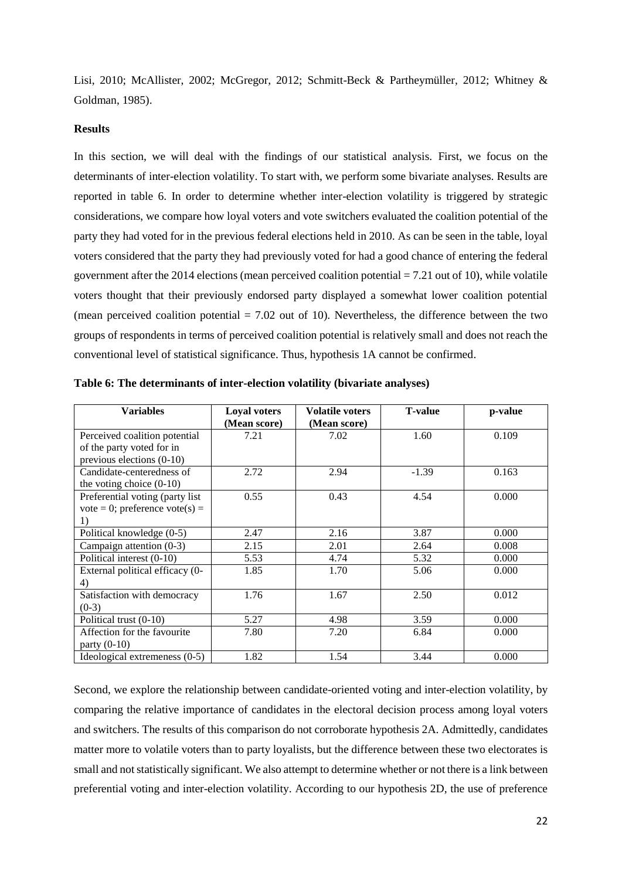Lisi, 2010; McAllister, 2002; McGregor, 2012; Schmitt-Beck & Partheymüller, 2012; Whitney & Goldman, 1985).

## **Results**

In this section, we will deal with the findings of our statistical analysis. First, we focus on the determinants of inter-election volatility. To start with, we perform some bivariate analyses. Results are reported in table 6. In order to determine whether inter-election volatility is triggered by strategic considerations, we compare how loyal voters and vote switchers evaluated the coalition potential of the party they had voted for in the previous federal elections held in 2010. As can be seen in the table, loyal voters considered that the party they had previously voted for had a good chance of entering the federal government after the 2014 elections (mean perceived coalition potential = 7.21 out of 10), while volatile voters thought that their previously endorsed party displayed a somewhat lower coalition potential (mean perceived coalition potential  $= 7.02$  out of 10). Nevertheless, the difference between the two groups of respondents in terms of perceived coalition potential is relatively small and does not reach the conventional level of statistical significance. Thus, hypothesis 1A cannot be confirmed.

| <b>Variables</b>                    | <b>Loyal voters</b><br>(Mean score) | <b>Volatile voters</b><br>(Mean score) | <b>T-value</b> | p-value |
|-------------------------------------|-------------------------------------|----------------------------------------|----------------|---------|
| Perceived coalition potential       | 7.21                                | 7.02                                   | 1.60           | 0.109   |
| of the party voted for in           |                                     |                                        |                |         |
| previous elections (0-10)           |                                     |                                        |                |         |
| Candidate-centeredness of           | 2.72                                | 2.94                                   | $-1.39$        | 0.163   |
| the voting choice $(0-10)$          |                                     |                                        |                |         |
| Preferential voting (party list     | 0.55                                | 0.43                                   | 4.54           | 0.000   |
| $vote = 0$ ; preference $vote(s) =$ |                                     |                                        |                |         |
| 1)                                  |                                     |                                        |                |         |
| Political knowledge (0-5)           | 2.47                                | 2.16                                   | 3.87           | 0.000   |
| Campaign attention $(0-3)$          | 2.15                                | 2.01                                   | 2.64           | 0.008   |
| Political interest (0-10)           | 5.53                                | 4.74                                   | 5.32           | 0.000   |
| External political efficacy (0-     | 1.85                                | 1.70                                   | 5.06           | 0.000   |
| 4)                                  |                                     |                                        |                |         |
| Satisfaction with democracy         | 1.76                                | 1.67                                   | 2.50           | 0.012   |
| $(0-3)$                             |                                     |                                        |                |         |
| Political trust $(0-10)$            | 5.27                                | 4.98                                   | 3.59           | 0.000   |
| Affection for the favourite         | 7.80                                | 7.20                                   | 6.84           | 0.000   |
| party $(0-10)$                      |                                     |                                        |                |         |
| Ideological extremeness (0-5)       | 1.82                                | 1.54                                   | 3.44           | 0.000   |

**Table 6: The determinants of inter-election volatility (bivariate analyses)** 

Second, we explore the relationship between candidate-oriented voting and inter-election volatility, by comparing the relative importance of candidates in the electoral decision process among loyal voters and switchers. The results of this comparison do not corroborate hypothesis 2A. Admittedly, candidates matter more to volatile voters than to party loyalists, but the difference between these two electorates is small and not statistically significant. We also attempt to determine whether or not there is a link between preferential voting and inter-election volatility. According to our hypothesis 2D, the use of preference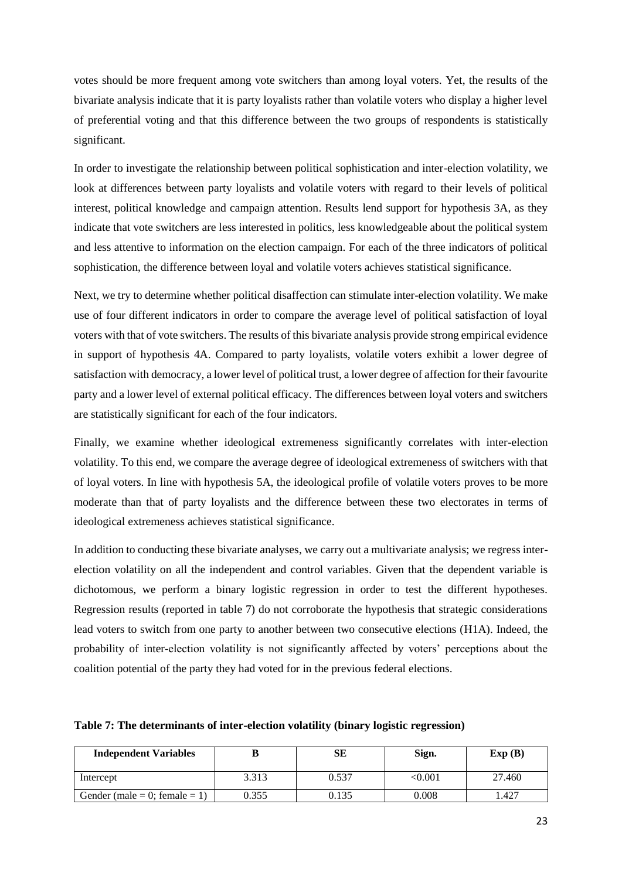votes should be more frequent among vote switchers than among loyal voters. Yet, the results of the bivariate analysis indicate that it is party loyalists rather than volatile voters who display a higher level of preferential voting and that this difference between the two groups of respondents is statistically significant.

In order to investigate the relationship between political sophistication and inter-election volatility, we look at differences between party loyalists and volatile voters with regard to their levels of political interest, political knowledge and campaign attention. Results lend support for hypothesis 3A, as they indicate that vote switchers are less interested in politics, less knowledgeable about the political system and less attentive to information on the election campaign. For each of the three indicators of political sophistication, the difference between loyal and volatile voters achieves statistical significance.

Next, we try to determine whether political disaffection can stimulate inter-election volatility. We make use of four different indicators in order to compare the average level of political satisfaction of loyal voters with that of vote switchers. The results of this bivariate analysis provide strong empirical evidence in support of hypothesis 4A. Compared to party loyalists, volatile voters exhibit a lower degree of satisfaction with democracy, a lower level of political trust, a lower degree of affection for their favourite party and a lower level of external political efficacy. The differences between loyal voters and switchers are statistically significant for each of the four indicators.

Finally, we examine whether ideological extremeness significantly correlates with inter-election volatility. To this end, we compare the average degree of ideological extremeness of switchers with that of loyal voters. In line with hypothesis 5A, the ideological profile of volatile voters proves to be more moderate than that of party loyalists and the difference between these two electorates in terms of ideological extremeness achieves statistical significance.

In addition to conducting these bivariate analyses, we carry out a multivariate analysis; we regress interelection volatility on all the independent and control variables. Given that the dependent variable is dichotomous, we perform a binary logistic regression in order to test the different hypotheses. Regression results (reported in table 7) do not corroborate the hypothesis that strategic considerations lead voters to switch from one party to another between two consecutive elections (H1A). Indeed, the probability of inter-election volatility is not significantly affected by voters' perceptions about the coalition potential of the party they had voted for in the previous federal elections.

**Table 7: The determinants of inter-election volatility (binary logistic regression)**

| <b>Independent Variables</b>  |       | SЕ    | Sign.   | Exp(B) |
|-------------------------------|-------|-------|---------|--------|
| Intercept                     | 3.313 | 0.537 | < 0.001 | 27.460 |
| Gender (male = 0; female = 1) | 0.355 | 0.135 | 0.008   | .427   |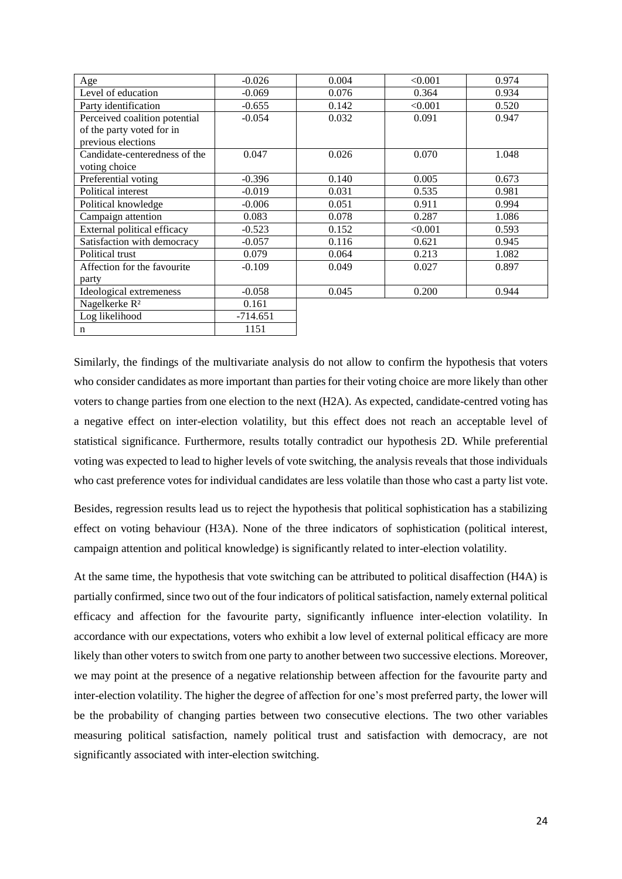| Age                           | $-0.026$   | 0.004 | < 0.001 | 0.974 |
|-------------------------------|------------|-------|---------|-------|
| Level of education            | $-0.069$   | 0.076 | 0.364   | 0.934 |
| Party identification          | $-0.655$   | 0.142 | < 0.001 | 0.520 |
| Perceived coalition potential | $-0.054$   | 0.032 | 0.091   | 0.947 |
| of the party voted for in     |            |       |         |       |
| previous elections            |            |       |         |       |
| Candidate-centeredness of the | 0.047      | 0.026 | 0.070   | 1.048 |
| voting choice                 |            |       |         |       |
| Preferential voting           | $-0.396$   | 0.140 | 0.005   | 0.673 |
| Political interest            | $-0.019$   | 0.031 | 0.535   | 0.981 |
| Political knowledge           | $-0.006$   | 0.051 | 0.911   | 0.994 |
| Campaign attention            | 0.083      | 0.078 | 0.287   | 1.086 |
| External political efficacy   | $-0.523$   | 0.152 | < 0.001 | 0.593 |
| Satisfaction with democracy   | $-0.057$   | 0.116 | 0.621   | 0.945 |
| Political trust               | 0.079      | 0.064 | 0.213   | 1.082 |
| Affection for the favourite   | $-0.109$   | 0.049 | 0.027   | 0.897 |
| party                         |            |       |         |       |
| Ideological extremeness       | $-0.058$   | 0.045 | 0.200   | 0.944 |
| Nagelkerke R <sup>2</sup>     | 0.161      |       |         |       |
| Log likelihood                | $-714.651$ |       |         |       |
| n                             | 1151       |       |         |       |

Similarly, the findings of the multivariate analysis do not allow to confirm the hypothesis that voters who consider candidates as more important than parties for their voting choice are more likely than other voters to change parties from one election to the next (H2A). As expected, candidate-centred voting has a negative effect on inter-election volatility, but this effect does not reach an acceptable level of statistical significance. Furthermore, results totally contradict our hypothesis 2D. While preferential voting was expected to lead to higher levels of vote switching, the analysis reveals that those individuals who cast preference votes for individual candidates are less volatile than those who cast a party list vote.

Besides, regression results lead us to reject the hypothesis that political sophistication has a stabilizing effect on voting behaviour (H3A). None of the three indicators of sophistication (political interest, campaign attention and political knowledge) is significantly related to inter-election volatility.

At the same time, the hypothesis that vote switching can be attributed to political disaffection (H4A) is partially confirmed, since two out of the four indicators of political satisfaction, namely external political efficacy and affection for the favourite party, significantly influence inter-election volatility. In accordance with our expectations, voters who exhibit a low level of external political efficacy are more likely than other voters to switch from one party to another between two successive elections. Moreover, we may point at the presence of a negative relationship between affection for the favourite party and inter-election volatility. The higher the degree of affection for one's most preferred party, the lower will be the probability of changing parties between two consecutive elections. The two other variables measuring political satisfaction, namely political trust and satisfaction with democracy, are not significantly associated with inter-election switching.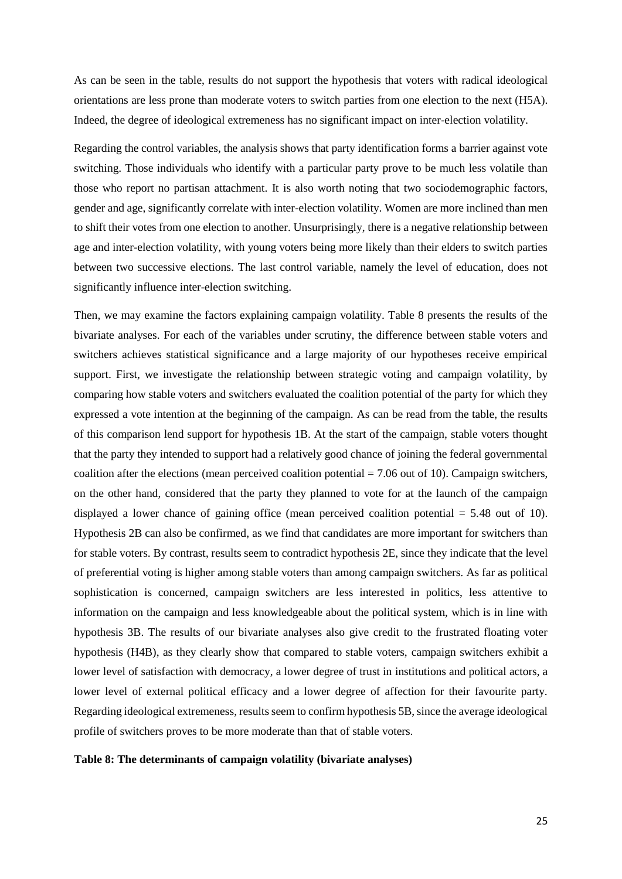As can be seen in the table, results do not support the hypothesis that voters with radical ideological orientations are less prone than moderate voters to switch parties from one election to the next (H5A). Indeed, the degree of ideological extremeness has no significant impact on inter-election volatility.

Regarding the control variables, the analysis shows that party identification forms a barrier against vote switching. Those individuals who identify with a particular party prove to be much less volatile than those who report no partisan attachment. It is also worth noting that two sociodemographic factors, gender and age, significantly correlate with inter-election volatility. Women are more inclined than men to shift their votes from one election to another. Unsurprisingly, there is a negative relationship between age and inter-election volatility, with young voters being more likely than their elders to switch parties between two successive elections. The last control variable, namely the level of education, does not significantly influence inter-election switching.

Then, we may examine the factors explaining campaign volatility. Table 8 presents the results of the bivariate analyses. For each of the variables under scrutiny, the difference between stable voters and switchers achieves statistical significance and a large majority of our hypotheses receive empirical support. First, we investigate the relationship between strategic voting and campaign volatility, by comparing how stable voters and switchers evaluated the coalition potential of the party for which they expressed a vote intention at the beginning of the campaign. As can be read from the table, the results of this comparison lend support for hypothesis 1B. At the start of the campaign, stable voters thought that the party they intended to support had a relatively good chance of joining the federal governmental coalition after the elections (mean perceived coalition potential  $= 7.06$  out of 10). Campaign switchers, on the other hand, considered that the party they planned to vote for at the launch of the campaign displayed a lower chance of gaining office (mean perceived coalition potential = 5.48 out of 10). Hypothesis 2B can also be confirmed, as we find that candidates are more important for switchers than for stable voters. By contrast, results seem to contradict hypothesis 2E, since they indicate that the level of preferential voting is higher among stable voters than among campaign switchers. As far as political sophistication is concerned, campaign switchers are less interested in politics, less attentive to information on the campaign and less knowledgeable about the political system, which is in line with hypothesis 3B. The results of our bivariate analyses also give credit to the frustrated floating voter hypothesis (H4B), as they clearly show that compared to stable voters, campaign switchers exhibit a lower level of satisfaction with democracy, a lower degree of trust in institutions and political actors, a lower level of external political efficacy and a lower degree of affection for their favourite party. Regarding ideological extremeness, results seem to confirm hypothesis 5B, since the average ideological profile of switchers proves to be more moderate than that of stable voters.

## **Table 8: The determinants of campaign volatility (bivariate analyses)**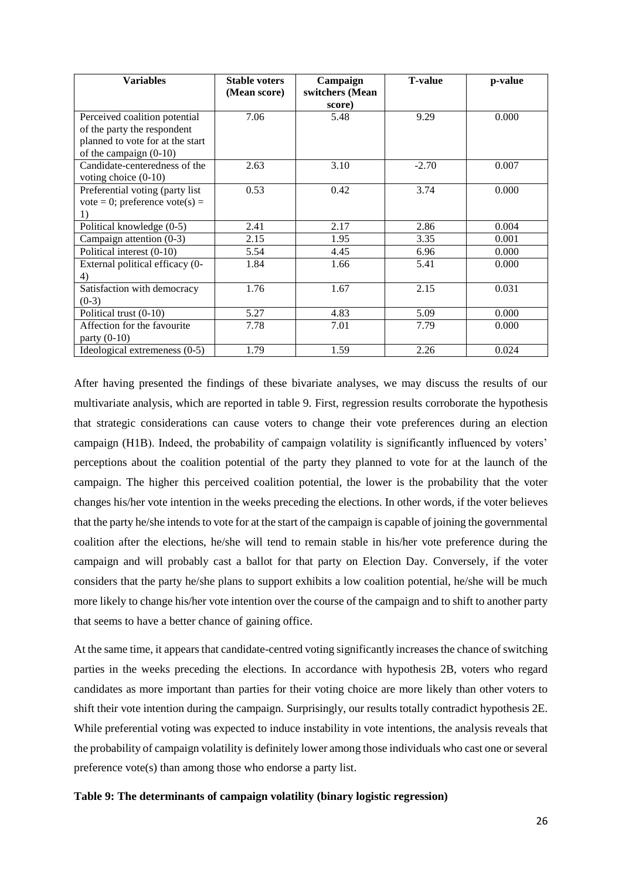| <b>Variables</b>                 | <b>Stable voters</b> | Campaign        | <b>T-value</b> | p-value |
|----------------------------------|----------------------|-----------------|----------------|---------|
|                                  | (Mean score)         | switchers (Mean |                |         |
|                                  |                      | score)          |                |         |
| Perceived coalition potential    | 7.06                 | 5.48            | 9.29           | 0.000   |
| of the party the respondent      |                      |                 |                |         |
| planned to vote for at the start |                      |                 |                |         |
| of the campaign $(0-10)$         |                      |                 |                |         |
| Candidate-centeredness of the    | 2.63                 | 3.10            | $-2.70$        | 0.007   |
| voting choice $(0-10)$           |                      |                 |                |         |
| Preferential voting (party list  | 0.53                 | 0.42            | 3.74           | 0.000   |
| vote = 0; preference vote(s) =   |                      |                 |                |         |
|                                  |                      |                 |                |         |
| Political knowledge (0-5)        | 2.41                 | 2.17            | 2.86           | 0.004   |
| Campaign attention $(0-3)$       | 2.15                 | 1.95            | 3.35           | 0.001   |
| Political interest (0-10)        | 5.54                 | 4.45            | 6.96           | 0.000   |
| External political efficacy (0-  | 1.84                 | 1.66            | 5.41           | 0.000   |
| 4)                               |                      |                 |                |         |
| Satisfaction with democracy      | 1.76                 | 1.67            | 2.15           | 0.031   |
| $(0-3)$                          |                      |                 |                |         |
| Political trust (0-10)           | 5.27                 | 4.83            | 5.09           | 0.000   |
| Affection for the favourite      | 7.78                 | 7.01            | 7.79           | 0.000   |
| party $(0-10)$                   |                      |                 |                |         |
| Ideological extremeness (0-5)    | 1.79                 | 1.59            | 2.26           | 0.024   |

After having presented the findings of these bivariate analyses, we may discuss the results of our multivariate analysis, which are reported in table 9. First, regression results corroborate the hypothesis that strategic considerations can cause voters to change their vote preferences during an election campaign (H1B). Indeed, the probability of campaign volatility is significantly influenced by voters' perceptions about the coalition potential of the party they planned to vote for at the launch of the campaign. The higher this perceived coalition potential, the lower is the probability that the voter changes his/her vote intention in the weeks preceding the elections. In other words, if the voter believes that the party he/she intends to vote for at the start of the campaign is capable of joining the governmental coalition after the elections, he/she will tend to remain stable in his/her vote preference during the campaign and will probably cast a ballot for that party on Election Day. Conversely, if the voter considers that the party he/she plans to support exhibits a low coalition potential, he/she will be much more likely to change his/her vote intention over the course of the campaign and to shift to another party that seems to have a better chance of gaining office.

At the same time, it appears that candidate-centred voting significantly increases the chance of switching parties in the weeks preceding the elections. In accordance with hypothesis 2B, voters who regard candidates as more important than parties for their voting choice are more likely than other voters to shift their vote intention during the campaign. Surprisingly, our results totally contradict hypothesis 2E. While preferential voting was expected to induce instability in vote intentions, the analysis reveals that the probability of campaign volatility is definitely lower among those individuals who cast one or several preference vote(s) than among those who endorse a party list.

#### **Table 9: The determinants of campaign volatility (binary logistic regression)**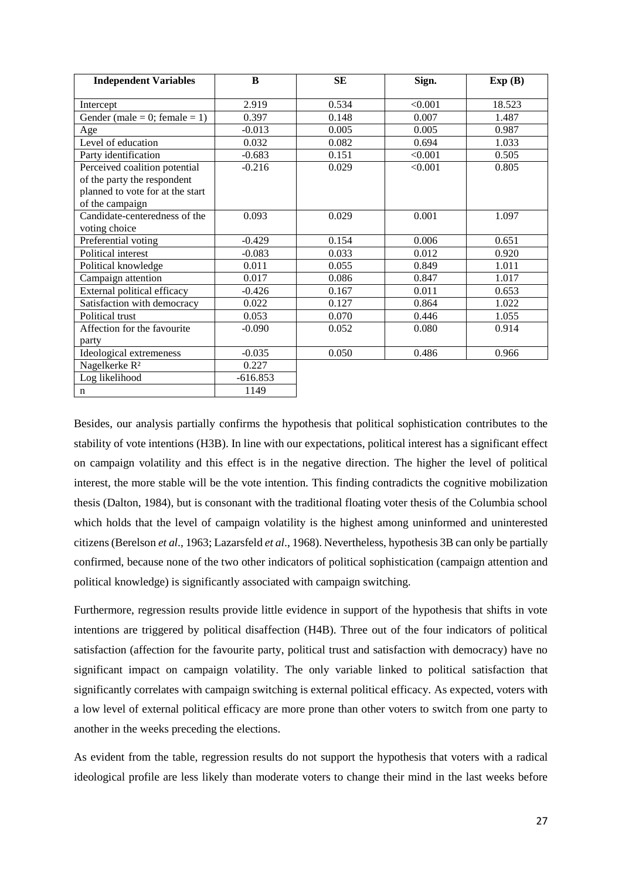| <b>Independent Variables</b>     | B          | <b>SE</b> | Sign.   | Exp(B) |
|----------------------------------|------------|-----------|---------|--------|
|                                  |            |           |         |        |
| Intercept                        | 2.919      | 0.534     | < 0.001 | 18.523 |
| Gender (male = $0$ ; female = 1) | 0.397      | 0.148     | 0.007   | 1.487  |
| Age                              | $-0.013$   | 0.005     | 0.005   | 0.987  |
| Level of education               | 0.032      | 0.082     | 0.694   | 1.033  |
| Party identification             | $-0.683$   | 0.151     | < 0.001 | 0.505  |
| Perceived coalition potential    | $-0.216$   | 0.029     | < 0.001 | 0.805  |
| of the party the respondent      |            |           |         |        |
| planned to vote for at the start |            |           |         |        |
| of the campaign                  |            |           |         |        |
| Candidate-centeredness of the    | 0.093      | 0.029     | 0.001   | 1.097  |
| voting choice                    |            |           |         |        |
| Preferential voting              | $-0.429$   | 0.154     | 0.006   | 0.651  |
| Political interest               | $-0.083$   | 0.033     | 0.012   | 0.920  |
| Political knowledge              | 0.011      | 0.055     | 0.849   | 1.011  |
| Campaign attention               | 0.017      | 0.086     | 0.847   | 1.017  |
| External political efficacy      | $-0.426$   | 0.167     | 0.011   | 0.653  |
| Satisfaction with democracy      | 0.022      | 0.127     | 0.864   | 1.022  |
| Political trust                  | 0.053      | 0.070     | 0.446   | 1.055  |
| Affection for the favourite      | $-0.090$   | 0.052     | 0.080   | 0.914  |
| party                            |            |           |         |        |
| Ideological extremeness          | $-0.035$   | 0.050     | 0.486   | 0.966  |
| Nagelkerke R <sup>2</sup>        | 0.227      |           |         |        |
| Log likelihood                   | $-616.853$ |           |         |        |
| $\mathbf n$                      | 1149       |           |         |        |

Besides, our analysis partially confirms the hypothesis that political sophistication contributes to the stability of vote intentions (H3B). In line with our expectations, political interest has a significant effect on campaign volatility and this effect is in the negative direction. The higher the level of political interest, the more stable will be the vote intention. This finding contradicts the cognitive mobilization thesis (Dalton, 1984), but is consonant with the traditional floating voter thesis of the Columbia school which holds that the level of campaign volatility is the highest among uninformed and uninterested citizens (Berelson *et al*., 1963; Lazarsfeld *et al*., 1968). Nevertheless, hypothesis 3B can only be partially confirmed, because none of the two other indicators of political sophistication (campaign attention and political knowledge) is significantly associated with campaign switching.

Furthermore, regression results provide little evidence in support of the hypothesis that shifts in vote intentions are triggered by political disaffection (H4B). Three out of the four indicators of political satisfaction (affection for the favourite party, political trust and satisfaction with democracy) have no significant impact on campaign volatility. The only variable linked to political satisfaction that significantly correlates with campaign switching is external political efficacy. As expected, voters with a low level of external political efficacy are more prone than other voters to switch from one party to another in the weeks preceding the elections.

As evident from the table, regression results do not support the hypothesis that voters with a radical ideological profile are less likely than moderate voters to change their mind in the last weeks before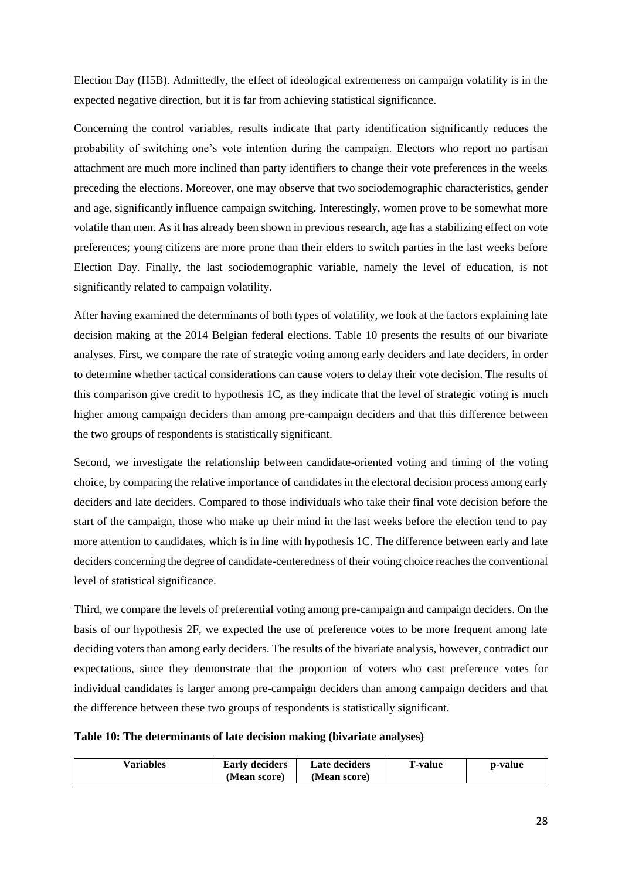Election Day (H5B). Admittedly, the effect of ideological extremeness on campaign volatility is in the expected negative direction, but it is far from achieving statistical significance.

Concerning the control variables, results indicate that party identification significantly reduces the probability of switching one's vote intention during the campaign. Electors who report no partisan attachment are much more inclined than party identifiers to change their vote preferences in the weeks preceding the elections. Moreover, one may observe that two sociodemographic characteristics, gender and age, significantly influence campaign switching. Interestingly, women prove to be somewhat more volatile than men. As it has already been shown in previous research, age has a stabilizing effect on vote preferences; young citizens are more prone than their elders to switch parties in the last weeks before Election Day. Finally, the last sociodemographic variable, namely the level of education, is not significantly related to campaign volatility.

After having examined the determinants of both types of volatility, we look at the factors explaining late decision making at the 2014 Belgian federal elections. Table 10 presents the results of our bivariate analyses. First, we compare the rate of strategic voting among early deciders and late deciders, in order to determine whether tactical considerations can cause voters to delay their vote decision. The results of this comparison give credit to hypothesis 1C, as they indicate that the level of strategic voting is much higher among campaign deciders than among pre-campaign deciders and that this difference between the two groups of respondents is statistically significant.

Second, we investigate the relationship between candidate-oriented voting and timing of the voting choice, by comparing the relative importance of candidates in the electoral decision process among early deciders and late deciders. Compared to those individuals who take their final vote decision before the start of the campaign, those who make up their mind in the last weeks before the election tend to pay more attention to candidates, which is in line with hypothesis 1C. The difference between early and late deciders concerning the degree of candidate-centeredness of their voting choice reaches the conventional level of statistical significance.

Third, we compare the levels of preferential voting among pre-campaign and campaign deciders. On the basis of our hypothesis 2F, we expected the use of preference votes to be more frequent among late deciding voters than among early deciders. The results of the bivariate analysis, however, contradict our expectations, since they demonstrate that the proportion of voters who cast preference votes for individual candidates is larger among pre-campaign deciders than among campaign deciders and that the difference between these two groups of respondents is statistically significant.

## **Table 10: The determinants of late decision making (bivariate analyses)**

| <b>Variables</b> | <b>Early deciders</b> | Late deciders | r'-value | p-value |
|------------------|-----------------------|---------------|----------|---------|
|                  | (Mean score)          | (Mean score)  |          |         |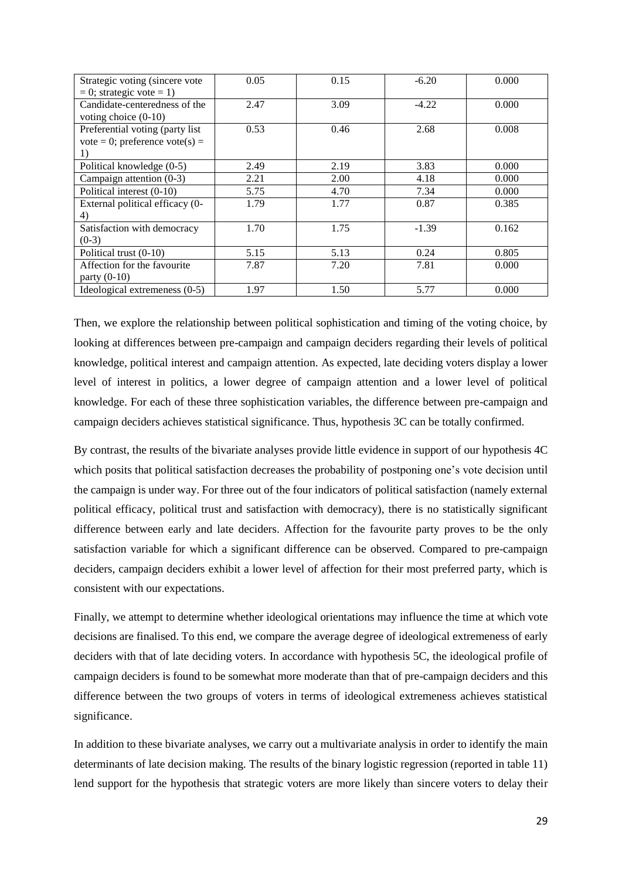| Strategic voting (sincere vote   | 0.05 | 0.15 | $-6.20$ | 0.000 |
|----------------------------------|------|------|---------|-------|
| $= 0$ ; strategic vote $= 1$ )   |      |      |         |       |
| Candidate-centeredness of the    | 2.47 | 3.09 | $-4.22$ | 0.000 |
| voting choice $(0-10)$           |      |      |         |       |
| Preferential voting (party list) | 0.53 | 0.46 | 2.68    | 0.008 |
| vote = 0; preference vote(s) =   |      |      |         |       |
| 1)                               |      |      |         |       |
| Political knowledge (0-5)        | 2.49 | 2.19 | 3.83    | 0.000 |
| Campaign attention $(0-3)$       | 2.21 | 2.00 | 4.18    | 0.000 |
| Political interest (0-10)        | 5.75 | 4.70 | 7.34    | 0.000 |
| External political efficacy (0-  | 1.79 | 1.77 | 0.87    | 0.385 |
| 4)                               |      |      |         |       |
| Satisfaction with democracy      | 1.70 | 1.75 | $-1.39$ | 0.162 |
| $(0-3)$                          |      |      |         |       |
| Political trust (0-10)           | 5.15 | 5.13 | 0.24    | 0.805 |
| Affection for the favourite      | 7.87 | 7.20 | 7.81    | 0.000 |
| party $(0-10)$                   |      |      |         |       |
| Ideological extremeness (0-5)    | 1.97 | 1.50 | 5.77    | 0.000 |

Then, we explore the relationship between political sophistication and timing of the voting choice, by looking at differences between pre-campaign and campaign deciders regarding their levels of political knowledge, political interest and campaign attention. As expected, late deciding voters display a lower level of interest in politics, a lower degree of campaign attention and a lower level of political knowledge. For each of these three sophistication variables, the difference between pre-campaign and campaign deciders achieves statistical significance. Thus, hypothesis 3C can be totally confirmed.

By contrast, the results of the bivariate analyses provide little evidence in support of our hypothesis 4C which posits that political satisfaction decreases the probability of postponing one's vote decision until the campaign is under way. For three out of the four indicators of political satisfaction (namely external political efficacy, political trust and satisfaction with democracy), there is no statistically significant difference between early and late deciders. Affection for the favourite party proves to be the only satisfaction variable for which a significant difference can be observed. Compared to pre-campaign deciders, campaign deciders exhibit a lower level of affection for their most preferred party, which is consistent with our expectations.

Finally, we attempt to determine whether ideological orientations may influence the time at which vote decisions are finalised. To this end, we compare the average degree of ideological extremeness of early deciders with that of late deciding voters. In accordance with hypothesis 5C, the ideological profile of campaign deciders is found to be somewhat more moderate than that of pre-campaign deciders and this difference between the two groups of voters in terms of ideological extremeness achieves statistical significance.

In addition to these bivariate analyses, we carry out a multivariate analysis in order to identify the main determinants of late decision making. The results of the binary logistic regression (reported in table 11) lend support for the hypothesis that strategic voters are more likely than sincere voters to delay their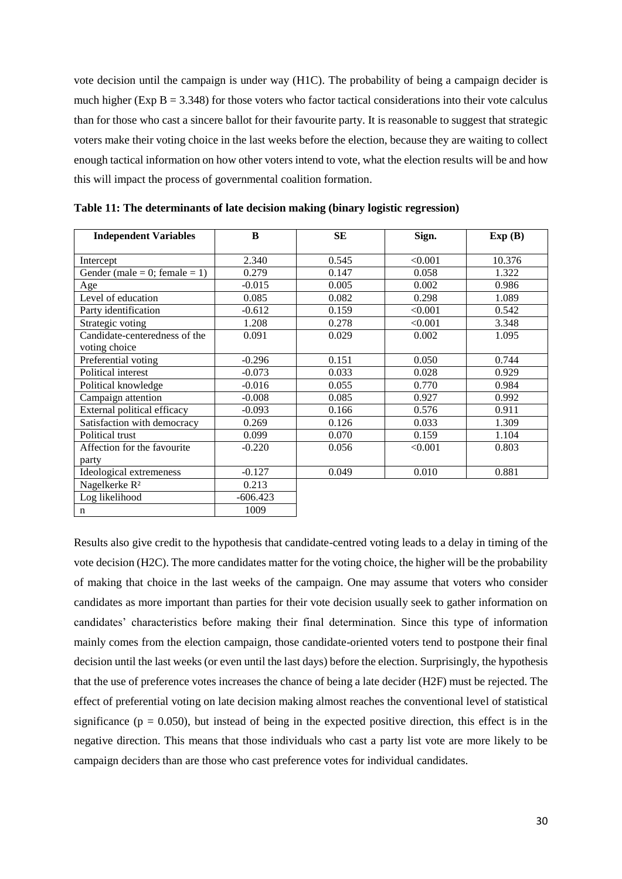vote decision until the campaign is under way (H1C). The probability of being a campaign decider is much higher (Exp B = 3.348) for those voters who factor tactical considerations into their vote calculus than for those who cast a sincere ballot for their favourite party. It is reasonable to suggest that strategic voters make their voting choice in the last weeks before the election, because they are waiting to collect enough tactical information on how other voters intend to vote, what the election results will be and how this will impact the process of governmental coalition formation.

| <b>Independent Variables</b>  | B          | SE    | Sign.   | Exp(B) |
|-------------------------------|------------|-------|---------|--------|
|                               |            |       |         |        |
| Intercept                     | 2.340      | 0.545 | < 0.001 | 10.376 |
| Gender (male = 0; female = 1) | 0.279      | 0.147 | 0.058   | 1.322  |
| Age                           | $-0.015$   | 0.005 | 0.002   | 0.986  |
| Level of education            | 0.085      | 0.082 | 0.298   | 1.089  |
| Party identification          | $-0.612$   | 0.159 | < 0.001 | 0.542  |
| Strategic voting              | 1.208      | 0.278 | < 0.001 | 3.348  |
| Candidate-centeredness of the | 0.091      | 0.029 | 0.002   | 1.095  |
| voting choice                 |            |       |         |        |
| Preferential voting           | $-0.296$   | 0.151 | 0.050   | 0.744  |
| Political interest            | $-0.073$   | 0.033 | 0.028   | 0.929  |
| Political knowledge           | $-0.016$   | 0.055 | 0.770   | 0.984  |
| Campaign attention            | $-0.008$   | 0.085 | 0.927   | 0.992  |
| External political efficacy   | $-0.093$   | 0.166 | 0.576   | 0.911  |
| Satisfaction with democracy   | 0.269      | 0.126 | 0.033   | 1.309  |
| Political trust               | 0.099      | 0.070 | 0.159   | 1.104  |
| Affection for the favourite   | $-0.220$   | 0.056 | < 0.001 | 0.803  |
| party                         |            |       |         |        |
| Ideological extremeness       | $-0.127$   | 0.049 | 0.010   | 0.881  |
| Nagelkerke R <sup>2</sup>     | 0.213      |       |         |        |
| Log likelihood                | $-606.423$ |       |         |        |
| $\mathbf n$                   | 1009       |       |         |        |

**Table 11: The determinants of late decision making (binary logistic regression)**

Results also give credit to the hypothesis that candidate-centred voting leads to a delay in timing of the vote decision (H2C). The more candidates matter for the voting choice, the higher will be the probability of making that choice in the last weeks of the campaign. One may assume that voters who consider candidates as more important than parties for their vote decision usually seek to gather information on candidates' characteristics before making their final determination. Since this type of information mainly comes from the election campaign, those candidate-oriented voters tend to postpone their final decision until the last weeks (or even until the last days) before the election. Surprisingly, the hypothesis that the use of preference votes increases the chance of being a late decider (H2F) must be rejected. The effect of preferential voting on late decision making almost reaches the conventional level of statistical significance ( $p = 0.050$ ), but instead of being in the expected positive direction, this effect is in the negative direction. This means that those individuals who cast a party list vote are more likely to be campaign deciders than are those who cast preference votes for individual candidates.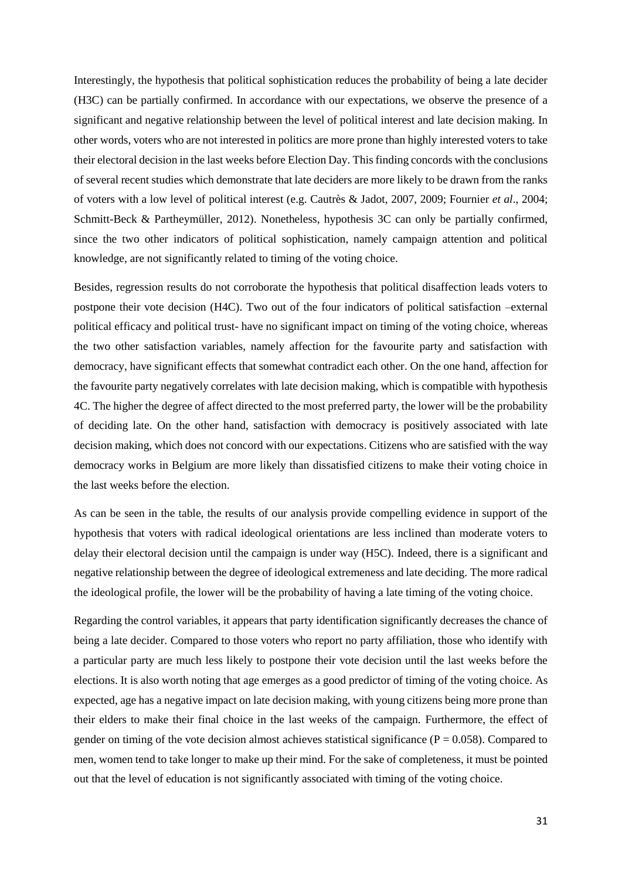Interestingly, the hypothesis that political sophistication reduces the probability of being a late decider (H3C) can be partially confirmed. In accordance with our expectations, we observe the presence of a significant and negative relationship between the level of political interest and late decision making. In other words, voters who are not interested in politics are more prone than highly interested voters to take their electoral decision in the last weeks before Election Day. This finding concords with the conclusions of several recent studies which demonstrate that late deciders are more likely to be drawn from the ranks of voters with a low level of political interest (e.g. Cautrès & Jadot, 2007, 2009; Fournier *et al*., 2004; Schmitt-Beck & Partheymüller, 2012). Nonetheless, hypothesis 3C can only be partially confirmed, since the two other indicators of political sophistication, namely campaign attention and political knowledge, are not significantly related to timing of the voting choice.

Besides, regression results do not corroborate the hypothesis that political disaffection leads voters to postpone their vote decision (H4C). Two out of the four indicators of political satisfaction –external political efficacy and political trust- have no significant impact on timing of the voting choice, whereas the two other satisfaction variables, namely affection for the favourite party and satisfaction with democracy, have significant effects that somewhat contradict each other. On the one hand, affection for the favourite party negatively correlates with late decision making, which is compatible with hypothesis 4C. The higher the degree of affect directed to the most preferred party, the lower will be the probability of deciding late. On the other hand, satisfaction with democracy is positively associated with late decision making, which does not concord with our expectations. Citizens who are satisfied with the way democracy works in Belgium are more likely than dissatisfied citizens to make their voting choice in the last weeks before the election.

As can be seen in the table, the results of our analysis provide compelling evidence in support of the hypothesis that voters with radical ideological orientations are less inclined than moderate voters to delay their electoral decision until the campaign is under way (H5C). Indeed, there is a significant and negative relationship between the degree of ideological extremeness and late deciding. The more radical the ideological profile, the lower will be the probability of having a late timing of the voting choice.

Regarding the control variables, it appears that party identification significantly decreases the chance of being a late decider. Compared to those voters who report no party affiliation, those who identify with a particular party are much less likely to postpone their vote decision until the last weeks before the elections. It is also worth noting that age emerges as a good predictor of timing of the voting choice. As expected, age has a negative impact on late decision making, with young citizens being more prone than their elders to make their final choice in the last weeks of the campaign. Furthermore, the effect of gender on timing of the vote decision almost achieves statistical significance ( $P = 0.058$ ). Compared to men, women tend to take longer to make up their mind. For the sake of completeness, it must be pointed out that the level of education is not significantly associated with timing of the voting choice.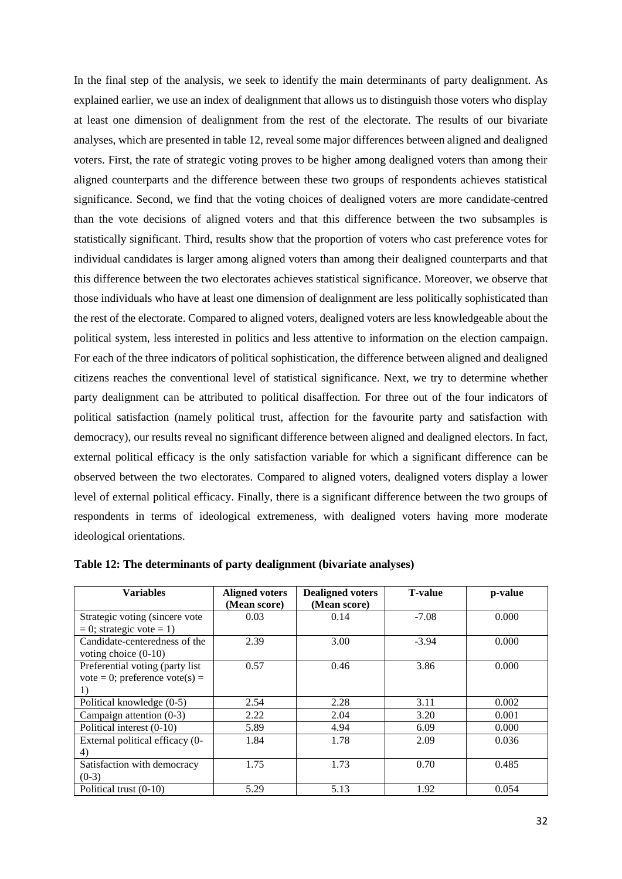In the final step of the analysis, we seek to identify the main determinants of party dealignment. As explained earlier, we use an index of dealignment that allows us to distinguish those voters who display at least one dimension of dealignment from the rest of the electorate. The results of our bivariate analyses, which are presented in table 12, reveal some major differences between aligned and dealigned voters. First, the rate of strategic voting proves to be higher among dealigned voters than among their aligned counterparts and the difference between these two groups of respondents achieves statistical significance. Second, we find that the voting choices of dealigned voters are more candidate-centred than the vote decisions of aligned voters and that this difference between the two subsamples is statistically significant. Third, results show that the proportion of voters who cast preference votes for individual candidates is larger among aligned voters than among their dealigned counterparts and that this difference between the two electorates achieves statistical significance. Moreover, we observe that those individuals who have at least one dimension of dealignment are less politically sophisticated than the rest of the electorate. Compared to aligned voters, dealigned voters are less knowledgeable about the political system, less interested in politics and less attentive to information on the election campaign. For each of the three indicators of political sophistication, the difference between aligned and dealigned citizens reaches the conventional level of statistical significance. Next, we try to determine whether party dealignment can be attributed to political disaffection. For three out of the four indicators of political satisfaction (namely political trust, affection for the favourite party and satisfaction with democracy), our results reveal no significant difference between aligned and dealigned electors. In fact, external political efficacy is the only satisfaction variable for which a significant difference can be observed between the two electorates. Compared to aligned voters, dealigned voters display a lower level of external political efficacy. Finally, there is a significant difference between the two groups of respondents in terms of ideological extremeness, with dealigned voters having more moderate ideological orientations.

| <b>Variables</b>                                                        | <b>Aligned voters</b><br>(Mean score) | <b>Dealigned voters</b><br>(Mean score) | <b>T-value</b> | p-value |
|-------------------------------------------------------------------------|---------------------------------------|-----------------------------------------|----------------|---------|
| Strategic voting (sincere vote<br>$= 0$ ; strategic vote $= 1$ )        | 0.03                                  | 0.14                                    | $-7.08$        | 0.000   |
| Candidate-centeredness of the<br>voting choice $(0-10)$                 | 2.39                                  | 3.00                                    | $-3.94$        | 0.000   |
| Preferential voting (party list<br>vote = 0; preference vote(s) =<br>1) | 0.57                                  | 0.46                                    | 3.86           | 0.000   |
| Political knowledge (0-5)                                               | 2.54                                  | 2.28                                    | 3.11           | 0.002   |
| Campaign attention $(0-3)$                                              | 2.22                                  | 2.04                                    | 3.20           | 0.001   |
| Political interest (0-10)                                               | 5.89                                  | 4.94                                    | 6.09           | 0.000   |
| External political efficacy (0-<br>4)                                   | 1.84                                  | 1.78                                    | 2.09           | 0.036   |
| Satisfaction with democracy<br>$(0-3)$                                  | 1.75                                  | 1.73                                    | 0.70           | 0.485   |
| Political trust (0-10)                                                  | 5.29                                  | 5.13                                    | 1.92           | 0.054   |

**Table 12: The determinants of party dealignment (bivariate analyses)**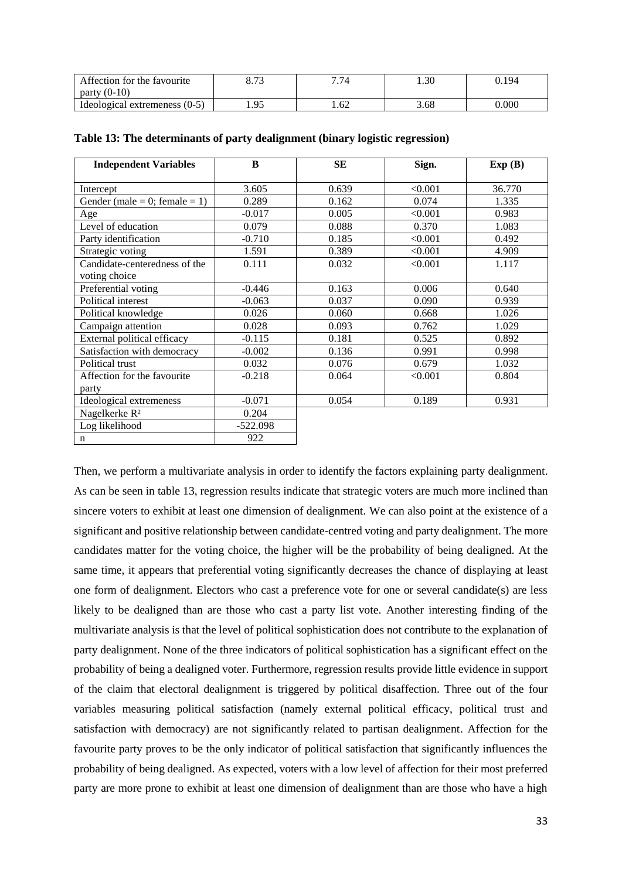| Affection for the favourite     | റൗറ<br>0. / J     | $\overline{H}$ $\overline{H}$ $\overline{H}$<br>. 74 | 1.30 | J.194 |
|---------------------------------|-------------------|------------------------------------------------------|------|-------|
| $(0-10)$<br>party               |                   |                                                      |      |       |
| Ideological extremeness $(0-5)$ | $\Omega$<br>1. JJ | 62                                                   | 3.68 | 0.000 |

| <b>Independent Variables</b>  | B          | <b>SE</b> | Sign.   | Exp(B) |
|-------------------------------|------------|-----------|---------|--------|
|                               |            |           |         |        |
| Intercept                     | 3.605      | 0.639     | < 0.001 | 36.770 |
| Gender (male = 0; female = 1) | 0.289      | 0.162     | 0.074   | 1.335  |
| Age                           | $-0.017$   | 0.005     | < 0.001 | 0.983  |
| Level of education            | 0.079      | 0.088     | 0.370   | 1.083  |
| Party identification          | $-0.710$   | 0.185     | < 0.001 | 0.492  |
| Strategic voting              | 1.591      | 0.389     | < 0.001 | 4.909  |
| Candidate-centeredness of the | 0.111      | 0.032     | < 0.001 | 1.117  |
| voting choice                 |            |           |         |        |
| Preferential voting           | $-0.446$   | 0.163     | 0.006   | 0.640  |
| Political interest            | $-0.063$   | 0.037     | 0.090   | 0.939  |
| Political knowledge           | 0.026      | 0.060     | 0.668   | 1.026  |
| Campaign attention            | 0.028      | 0.093     | 0.762   | 1.029  |
| External political efficacy   | $-0.115$   | 0.181     | 0.525   | 0.892  |
| Satisfaction with democracy   | $-0.002$   | 0.136     | 0.991   | 0.998  |
| Political trust               | 0.032      | 0.076     | 0.679   | 1.032  |
| Affection for the favourite   | $-0.218$   | 0.064     | < 0.001 | 0.804  |
| party                         |            |           |         |        |
| Ideological extremeness       | $-0.071$   | 0.054     | 0.189   | 0.931  |
| Nagelkerke R <sup>2</sup>     | 0.204      |           |         |        |
| Log likelihood                | $-522.098$ |           |         |        |
| n                             | 922        |           |         |        |

#### **Table 13: The determinants of party dealignment (binary logistic regression)**

Then, we perform a multivariate analysis in order to identify the factors explaining party dealignment. As can be seen in table 13, regression results indicate that strategic voters are much more inclined than sincere voters to exhibit at least one dimension of dealignment. We can also point at the existence of a significant and positive relationship between candidate-centred voting and party dealignment. The more candidates matter for the voting choice, the higher will be the probability of being dealigned. At the same time, it appears that preferential voting significantly decreases the chance of displaying at least one form of dealignment. Electors who cast a preference vote for one or several candidate(s) are less likely to be dealigned than are those who cast a party list vote. Another interesting finding of the multivariate analysis is that the level of political sophistication does not contribute to the explanation of party dealignment. None of the three indicators of political sophistication has a significant effect on the probability of being a dealigned voter. Furthermore, regression results provide little evidence in support of the claim that electoral dealignment is triggered by political disaffection. Three out of the four variables measuring political satisfaction (namely external political efficacy, political trust and satisfaction with democracy) are not significantly related to partisan dealignment. Affection for the favourite party proves to be the only indicator of political satisfaction that significantly influences the probability of being dealigned. As expected, voters with a low level of affection for their most preferred party are more prone to exhibit at least one dimension of dealignment than are those who have a high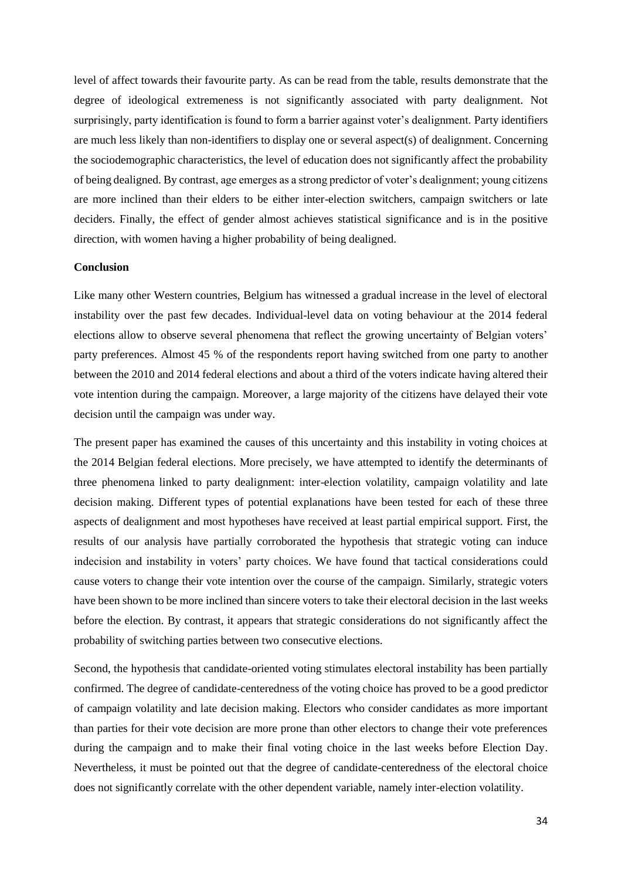level of affect towards their favourite party. As can be read from the table, results demonstrate that the degree of ideological extremeness is not significantly associated with party dealignment. Not surprisingly, party identification is found to form a barrier against voter's dealignment. Party identifiers are much less likely than non-identifiers to display one or several aspect(s) of dealignment. Concerning the sociodemographic characteristics, the level of education does not significantly affect the probability of being dealigned. By contrast, age emerges as a strong predictor of voter's dealignment; young citizens are more inclined than their elders to be either inter-election switchers, campaign switchers or late deciders. Finally, the effect of gender almost achieves statistical significance and is in the positive direction, with women having a higher probability of being dealigned.

#### **Conclusion**

Like many other Western countries, Belgium has witnessed a gradual increase in the level of electoral instability over the past few decades. Individual-level data on voting behaviour at the 2014 federal elections allow to observe several phenomena that reflect the growing uncertainty of Belgian voters' party preferences. Almost 45 % of the respondents report having switched from one party to another between the 2010 and 2014 federal elections and about a third of the voters indicate having altered their vote intention during the campaign. Moreover, a large majority of the citizens have delayed their vote decision until the campaign was under way.

The present paper has examined the causes of this uncertainty and this instability in voting choices at the 2014 Belgian federal elections. More precisely, we have attempted to identify the determinants of three phenomena linked to party dealignment: inter-election volatility, campaign volatility and late decision making. Different types of potential explanations have been tested for each of these three aspects of dealignment and most hypotheses have received at least partial empirical support. First, the results of our analysis have partially corroborated the hypothesis that strategic voting can induce indecision and instability in voters' party choices. We have found that tactical considerations could cause voters to change their vote intention over the course of the campaign. Similarly, strategic voters have been shown to be more inclined than sincere voters to take their electoral decision in the last weeks before the election. By contrast, it appears that strategic considerations do not significantly affect the probability of switching parties between two consecutive elections.

Second, the hypothesis that candidate-oriented voting stimulates electoral instability has been partially confirmed. The degree of candidate-centeredness of the voting choice has proved to be a good predictor of campaign volatility and late decision making. Electors who consider candidates as more important than parties for their vote decision are more prone than other electors to change their vote preferences during the campaign and to make their final voting choice in the last weeks before Election Day. Nevertheless, it must be pointed out that the degree of candidate-centeredness of the electoral choice does not significantly correlate with the other dependent variable, namely inter-election volatility.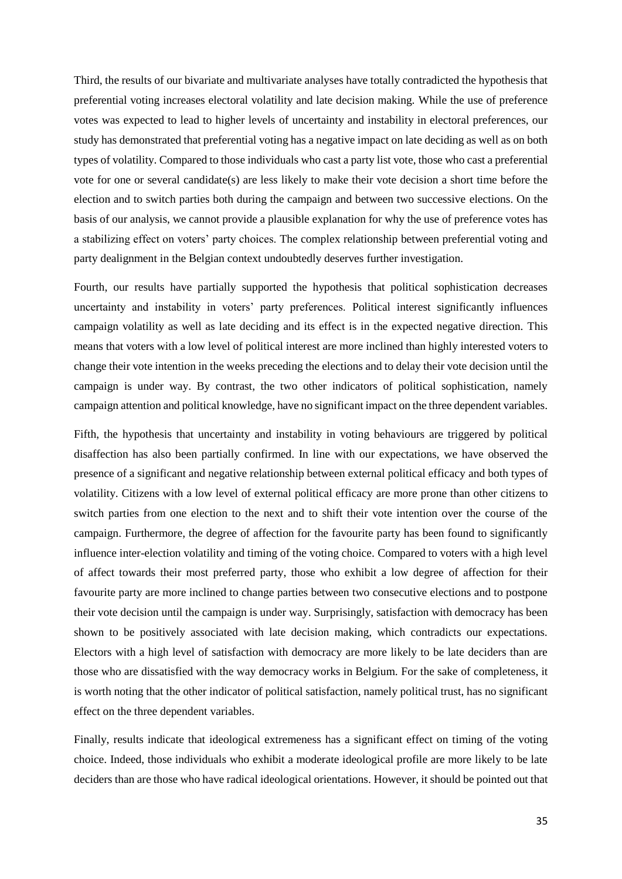Third, the results of our bivariate and multivariate analyses have totally contradicted the hypothesis that preferential voting increases electoral volatility and late decision making. While the use of preference votes was expected to lead to higher levels of uncertainty and instability in electoral preferences, our study has demonstrated that preferential voting has a negative impact on late deciding as well as on both types of volatility. Compared to those individuals who cast a party list vote, those who cast a preferential vote for one or several candidate(s) are less likely to make their vote decision a short time before the election and to switch parties both during the campaign and between two successive elections. On the basis of our analysis, we cannot provide a plausible explanation for why the use of preference votes has a stabilizing effect on voters' party choices. The complex relationship between preferential voting and party dealignment in the Belgian context undoubtedly deserves further investigation.

Fourth, our results have partially supported the hypothesis that political sophistication decreases uncertainty and instability in voters' party preferences. Political interest significantly influences campaign volatility as well as late deciding and its effect is in the expected negative direction. This means that voters with a low level of political interest are more inclined than highly interested voters to change their vote intention in the weeks preceding the elections and to delay their vote decision until the campaign is under way. By contrast, the two other indicators of political sophistication, namely campaign attention and political knowledge, have no significant impact on the three dependent variables.

Fifth, the hypothesis that uncertainty and instability in voting behaviours are triggered by political disaffection has also been partially confirmed. In line with our expectations, we have observed the presence of a significant and negative relationship between external political efficacy and both types of volatility. Citizens with a low level of external political efficacy are more prone than other citizens to switch parties from one election to the next and to shift their vote intention over the course of the campaign. Furthermore, the degree of affection for the favourite party has been found to significantly influence inter-election volatility and timing of the voting choice. Compared to voters with a high level of affect towards their most preferred party, those who exhibit a low degree of affection for their favourite party are more inclined to change parties between two consecutive elections and to postpone their vote decision until the campaign is under way. Surprisingly, satisfaction with democracy has been shown to be positively associated with late decision making, which contradicts our expectations. Electors with a high level of satisfaction with democracy are more likely to be late deciders than are those who are dissatisfied with the way democracy works in Belgium. For the sake of completeness, it is worth noting that the other indicator of political satisfaction, namely political trust, has no significant effect on the three dependent variables.

Finally, results indicate that ideological extremeness has a significant effect on timing of the voting choice. Indeed, those individuals who exhibit a moderate ideological profile are more likely to be late deciders than are those who have radical ideological orientations. However, it should be pointed out that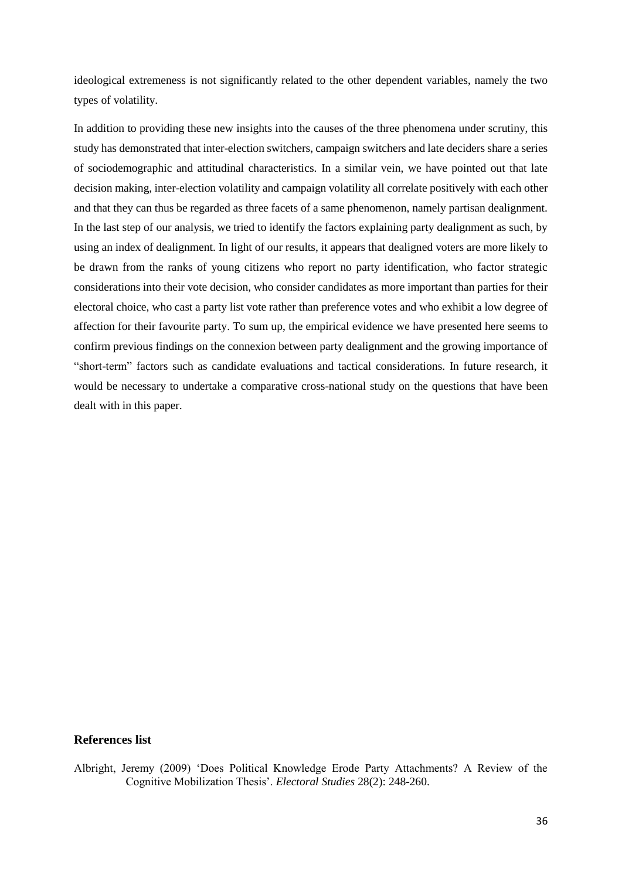ideological extremeness is not significantly related to the other dependent variables, namely the two types of volatility.

In addition to providing these new insights into the causes of the three phenomena under scrutiny, this study has demonstrated that inter-election switchers, campaign switchers and late deciders share a series of sociodemographic and attitudinal characteristics. In a similar vein, we have pointed out that late decision making, inter-election volatility and campaign volatility all correlate positively with each other and that they can thus be regarded as three facets of a same phenomenon, namely partisan dealignment. In the last step of our analysis, we tried to identify the factors explaining party dealignment as such, by using an index of dealignment. In light of our results, it appears that dealigned voters are more likely to be drawn from the ranks of young citizens who report no party identification, who factor strategic considerations into their vote decision, who consider candidates as more important than parties for their electoral choice, who cast a party list vote rather than preference votes and who exhibit a low degree of affection for their favourite party. To sum up, the empirical evidence we have presented here seems to confirm previous findings on the connexion between party dealignment and the growing importance of "short-term" factors such as candidate evaluations and tactical considerations. In future research, it would be necessary to undertake a comparative cross-national study on the questions that have been dealt with in this paper.

## **References list**

Albright, Jeremy (2009) 'Does Political Knowledge Erode Party Attachments? A Review of the Cognitive Mobilization Thesis'. *Electoral Studies* 28(2): 248-260.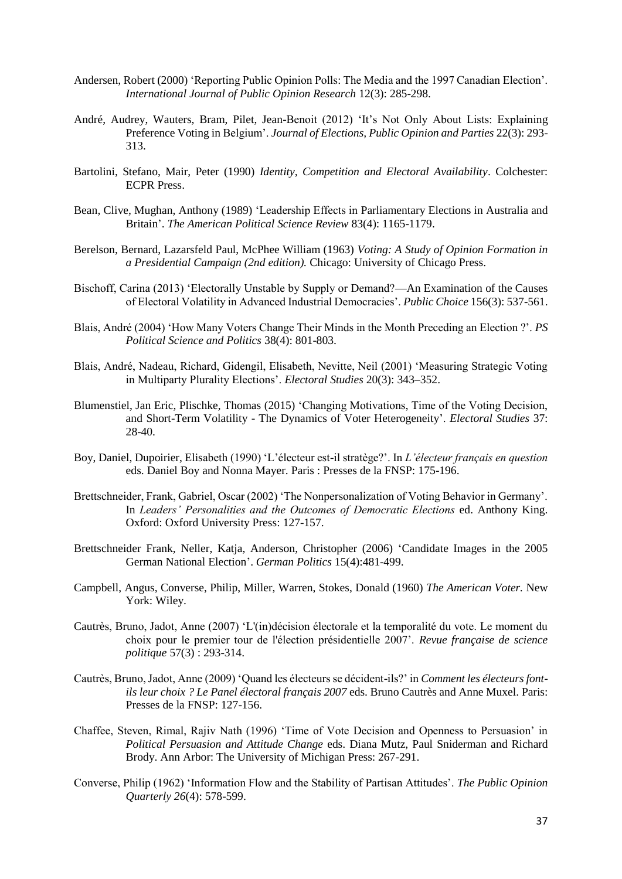- Andersen, Robert (2000) 'Reporting Public Opinion Polls: The Media and the 1997 Canadian Election'. *International Journal of Public Opinion Research* 12(3): 285-298.
- André, Audrey, Wauters, Bram, Pilet, Jean-Benoit (2012) 'It's Not Only About Lists: Explaining Preference Voting in Belgium'. *Journal of Elections, Public Opinion and Parties* 22(3): 293- 313.
- Bartolini, Stefano, Mair, Peter (1990) *Identity, Competition and Electoral Availability*. Colchester: ECPR Press.
- Bean, Clive, Mughan, Anthony (1989) 'Leadership Effects in Parliamentary Elections in Australia and Britain'. *The American Political Science Review* 83(4): 1165-1179.
- Berelson, Bernard, Lazarsfeld Paul, McPhee William (1963) *Voting: A Study of Opinion Formation in a Presidential Campaign (2nd edition).* Chicago: University of Chicago Press.
- Bischoff, Carina (2013) 'Electorally Unstable by Supply or Demand?—An Examination of the Causes of Electoral Volatility in Advanced Industrial Democracies'. *Public Choice* 156(3): 537-561.
- Blais, André (2004) 'How Many Voters Change Their Minds in the Month Preceding an Election ?'. *PS Political Science and Politics* 38(4): 801-803.
- Blais, André, Nadeau, Richard, Gidengil, Elisabeth, Nevitte, Neil (2001) 'Measuring Strategic Voting in Multiparty Plurality Elections'. *Electoral Studies* 20(3): 343–352.
- Blumenstiel, Jan Eric, Plischke, Thomas (2015) 'Changing Motivations, Time of the Voting Decision, and Short-Term Volatility - The Dynamics of Voter Heterogeneity'. *Electoral Studies* 37: 28-40.
- Boy, Daniel, Dupoirier, Elisabeth (1990) 'L'électeur est-il stratège?'. In *L'électeur français en question* eds. Daniel Boy and Nonna Mayer. Paris : Presses de la FNSP: 175-196.
- Brettschneider, Frank, Gabriel, Oscar (2002) 'The Nonpersonalization of Voting Behavior in Germany'. In *Leaders' Personalities and the Outcomes of Democratic Elections* ed. Anthony King. Oxford: Oxford University Press: 127-157.
- Brettschneider Frank, Neller, Katja, Anderson, Christopher (2006) 'Candidate Images in the 2005 German National Election'. *German Politics* 15(4):481-499.
- Campbell, Angus, Converse, Philip, Miller, Warren, Stokes, Donald (1960) *The American Voter.* New York: Wiley.
- Cautrès, Bruno, Jadot, Anne (2007) 'L'(in)décision électorale et la temporalité du vote. Le moment du choix pour le premier tour de l'élection présidentielle 2007'. *Revue française de science politique* 57(3) : 293-314.
- Cautrès, Bruno, Jadot, Anne (2009) 'Quand les électeurs se décident-ils?' in *Comment les électeurs fontils leur choix ? Le Panel électoral français 2007* eds. Bruno Cautrès and Anne Muxel. Paris: Presses de la FNSP: 127-156.
- Chaffee, Steven, Rimal, Rajiv Nath (1996) 'Time of Vote Decision and Openness to Persuasion' in *Political Persuasion and Attitude Change* eds. Diana Mutz, Paul Sniderman and Richard Brody. Ann Arbor: The University of Michigan Press: 267-291.
- Converse, Philip (1962) 'Information Flow and the Stability of Partisan Attitudes'. *The Public Opinion Quarterly 26*(4): 578-599.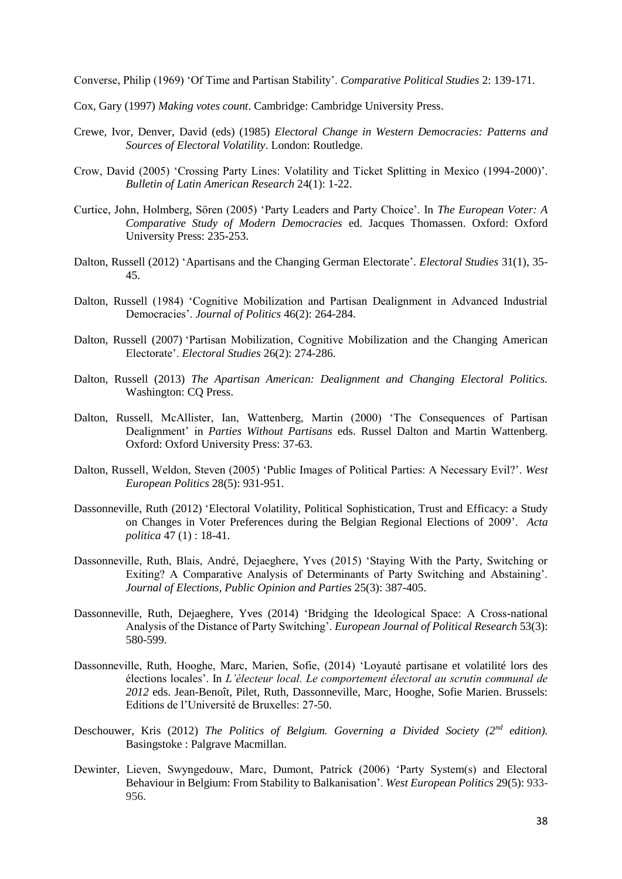Converse, Philip (1969) 'Of Time and Partisan Stability'. *Comparative Political Studies* 2: 139-171.

- Cox, Gary (1997) *Making votes count*. Cambridge: Cambridge University Press.
- Crewe, Ivor, Denver, David (eds) (1985) *Electoral Change in Western Democracies: Patterns and Sources of Electoral Volatility*. London: Routledge.
- Crow, David (2005) 'Crossing Party Lines: Volatility and Ticket Splitting in Mexico (1994-2000)'. *Bulletin of Latin American Research* 24(1): 1-22.
- Curtice, John, Holmberg, Sören (2005) 'Party Leaders and Party Choice'. In *The European Voter: A Comparative Study of Modern Democracies* ed. Jacques Thomassen. Oxford: Oxford University Press: 235-253.
- Dalton, Russell (2012) 'Apartisans and the Changing German Electorate'. *Electoral Studies* 31(1), 35- 45.
- Dalton, Russell (1984) 'Cognitive Mobilization and Partisan Dealignment in Advanced Industrial Democracies'. *Journal of Politics* 46(2): 264-284.
- Dalton, Russell (2007) 'Partisan Mobilization, Cognitive Mobilization and the Changing American Electorate'. *Electoral Studies* 26(2): 274-286.
- Dalton, Russell (2013) *The Apartisan American: Dealignment and Changing Electoral Politics.*  Washington: CQ Press.
- Dalton, Russell, McAllister, Ian, Wattenberg, Martin (2000) 'The Consequences of Partisan Dealignment' in *Parties Without Partisans* eds. Russel Dalton and Martin Wattenberg. Oxford: Oxford University Press: 37-63.
- Dalton, Russell, Weldon, Steven (2005) 'Public Images of Political Parties: A Necessary Evil?'. *West European Politics* 28(5): 931-951.
- Dassonneville, Ruth (2012) 'Electoral Volatility, Political Sophistication, Trust and Efficacy: a Study on Changes in Voter Preferences during the Belgian Regional Elections of 2009'. *Acta politica* 47 (1) : 18-41.
- Dassonneville, Ruth, Blais, André, Dejaeghere, Yves (2015) 'Staying With the Party, Switching or Exiting? A Comparative Analysis of Determinants of Party Switching and Abstaining'. *Journal of Elections, Public Opinion and Parties* 25(3): 387-405.
- Dassonneville, Ruth, Dejaeghere, Yves (2014) ['Bridging the Ideological Space: A Cross-national](http://onlinelibrary.wiley.com/doi/10.1111/1475-6765.12049/abstract)  [Analysis of the Distance of Party Switching'.](http://onlinelibrary.wiley.com/doi/10.1111/1475-6765.12049/abstract) *European Journal of Political Research* 53(3): 580-599.
- Dassonneville, Ruth, Hooghe, Marc, Marien, Sofie, (2014) 'Loyauté partisane et volatilité lors des élections locales'. In *L'électeur local. Le comportement électoral au scrutin communal de 2012* eds. Jean-Benoît, Pilet, Ruth, Dassonneville, Marc, Hooghe, Sofie Marien. Brussels: Editions de l'Université de Bruxelles: 27-50.
- Deschouwer, Kris (2012) *The Politics of Belgium. Governing a Divided Society (2nd edition).* Basingstoke : Palgrave Macmillan.
- Dewinter, Lieven, Swyngedouw, Marc, Dumont, Patrick (2006) 'Party System(s) and Electoral Behaviour in Belgium: From Stability to Balkanisation'. *West European Politics* 29(5): 933- 956.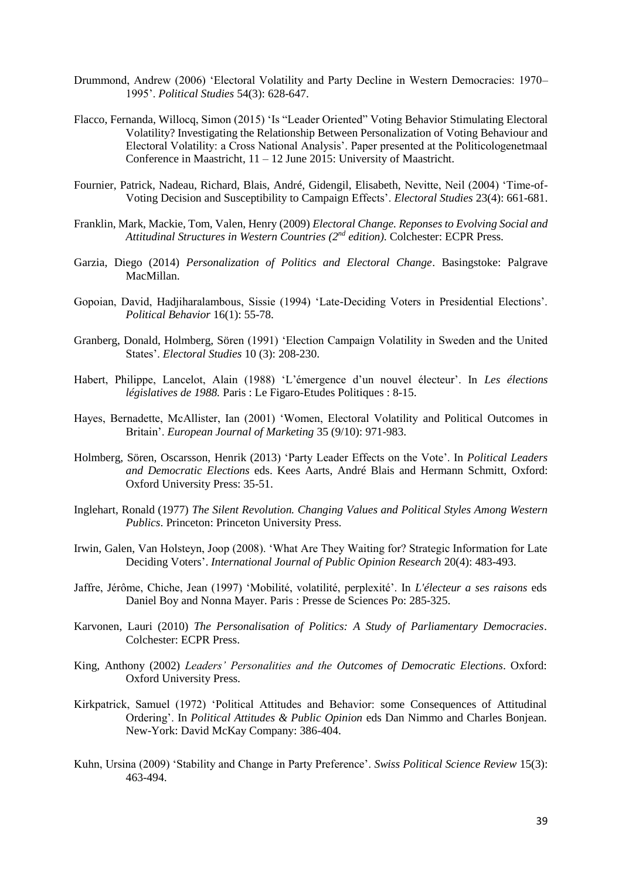- Drummond, Andrew (2006) 'Electoral Volatility and Party Decline in Western Democracies: 1970– 1995'. *Political Studies* 54(3): 628-647.
- Flacco, Fernanda, Willocq, Simon (2015) 'Is "Leader Oriented" Voting Behavior Stimulating Electoral Volatility? Investigating the Relationship Between Personalization of Voting Behaviour and Electoral Volatility: a Cross National Analysis'. Paper presented at the Politicologenetmaal Conference in Maastricht, 11 – 12 June 2015: University of Maastricht.
- Fournier, Patrick, Nadeau, Richard, Blais, André, Gidengil, Elisabeth, Nevitte, Neil (2004) 'Time-of-Voting Decision and Susceptibility to Campaign Effects'. *Electoral Studies* 23(4): 661-681.
- Franklin, Mark, Mackie, Tom, Valen, Henry (2009) *Electoral Change. Reponses to Evolving Social and Attitudinal Structures in Western Countries (2nd edition)*. Colchester: ECPR Press.
- Garzia, Diego (2014) *Personalization of Politics and Electoral Change*. Basingstoke: Palgrave MacMillan.
- Gopoian, David, Hadjiharalambous, Sissie (1994) 'Late-Deciding Voters in Presidential Elections'. *Political Behavior* 16(1): 55-78.
- Granberg, Donald, Holmberg, Sören (1991) 'Election Campaign Volatility in Sweden and the United States'. *Electoral Studies* 10 (3): 208-230.
- Habert, Philippe, Lancelot, Alain (1988) 'L'émergence d'un nouvel électeur'. In *Les élections législatives de 1988.* Paris : Le Figaro-Etudes Politiques : 8-15.
- Hayes, Bernadette, McAllister, Ian (2001) 'Women, Electoral Volatility and Political Outcomes in Britain'. *European Journal of Marketing* 35 (9/10): 971-983.
- Holmberg, Sören, Oscarsson, Henrik (2013) 'Party Leader Effects on the Vote'. In *Political Leaders and Democratic Elections* eds. Kees Aarts, André Blais and Hermann Schmitt, Oxford: Oxford University Press: 35-51.
- Inglehart, Ronald (1977) *The Silent Revolution. Changing Values and Political Styles Among Western Publics*. Princeton: Princeton University Press.
- Irwin, Galen, Van Holsteyn, Joop (2008). 'What Are They Waiting for? Strategic Information for Late Deciding Voters'. *International Journal of Public Opinion Research* 20(4): 483-493.
- Jaffre, Jérôme, Chiche, Jean (1997) 'Mobilité, volatilité, perplexité'. In *L'électeur a ses raisons* eds Daniel Boy and Nonna Mayer. Paris : Presse de Sciences Po: 285-325.
- Karvonen, Lauri (2010) *The Personalisation of Politics: A Study of Parliamentary Democracies*. Colchester: ECPR Press.
- King, Anthony (2002) *Leaders' Personalities and the Outcomes of Democratic Elections*. Oxford: Oxford University Press.
- Kirkpatrick, Samuel (1972) 'Political Attitudes and Behavior: some Consequences of Attitudinal Ordering'. In *Political Attitudes & Public Opinion* eds Dan Nimmo and Charles Bonjean. New-York: David McKay Company: 386-404.
- Kuhn, Ursina (2009) 'Stability and Change in Party Preference'. *Swiss Political Science Review* 15(3): 463-494.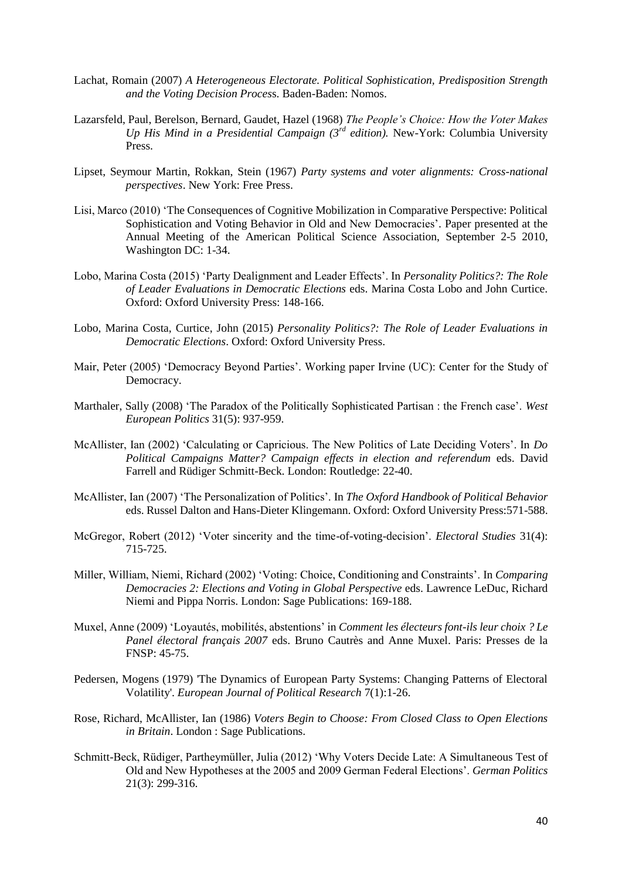- Lachat, Romain (2007) *A Heterogeneous Electorate. Political Sophistication, Predisposition Strength and the Voting Decision Proces*s. Baden-Baden: Nomos.
- Lazarsfeld, Paul, Berelson, Bernard, Gaudet, Hazel (1968) *The People's Choice: How the Voter Makes Up His Mind in a Presidential Campaign (3rd edition).* New-York: Columbia University Press.
- Lipset, Seymour Martin, Rokkan, Stein (1967) *Party systems and voter alignments: Cross-national perspectives*. New York: Free Press.
- Lisi, Marco (2010) 'The Consequences of Cognitive Mobilization in Comparative Perspective: Political Sophistication and Voting Behavior in Old and New Democracies'. Paper presented at the Annual Meeting of the American Political Science Association, September 2-5 2010, Washington DC: 1-34.
- Lobo, Marina Costa (2015) 'Party Dealignment and Leader Effects'. In *Personality Politics?: The Role of Leader Evaluations in Democratic Elections* eds. Marina Costa Lobo and John Curtice. Oxford: Oxford University Press: 148-166.
- Lobo, Marina Costa, Curtice, John (2015) *Personality Politics?: The Role of Leader Evaluations in Democratic Elections*. Oxford: Oxford University Press.
- Mair, Peter (2005) 'Democracy Beyond Parties'. Working paper Irvine (UC): Center for the Study of Democracy.
- Marthaler, Sally (2008) 'The Paradox of the Politically Sophisticated Partisan : the French case'. *West European Politics* 31(5): 937-959.
- McAllister, Ian (2002) 'Calculating or Capricious. The New Politics of Late Deciding Voters'. In *Do Political Campaigns Matter? Campaign effects in election and referendum* eds. David Farrell and Rüdiger Schmitt-Beck. London: Routledge: 22-40.
- McAllister, Ian (2007) 'The Personalization of Politics'. In *The Oxford Handbook of Political Behavior* eds. Russel Dalton and Hans-Dieter Klingemann. Oxford: Oxford University Press:571-588.
- McGregor, Robert (2012) 'Voter sincerity and the time-of-voting-decision'. *Electoral Studies* 31(4): 715-725.
- Miller, William, Niemi, Richard (2002) 'Voting: Choice, Conditioning and Constraints'. In *Comparing Democracies 2: Elections and Voting in Global Perspective* eds. Lawrence LeDuc, Richard Niemi and Pippa Norris. London: Sage Publications: 169-188.
- Muxel, Anne (2009) 'Loyautés, mobilités, abstentions' in *Comment les électeurs font-ils leur choix ? Le Panel électoral français 2007* eds. Bruno Cautrès and Anne Muxel. Paris: Presses de la FNSP: 45-75.
- Pedersen, Mogens (1979) 'The Dynamics of European Party Systems: Changing Patterns of Electoral Volatility'. *European Journal of Political Research* 7(1):1-26.
- Rose, Richard, McAllister, Ian (1986) *Voters Begin to Choose: From Closed Class to Open Elections in Britain*. London : Sage Publications.
- Schmitt-Beck, Rüdiger, Partheymüller, Julia (2012) 'Why Voters Decide Late: A Simultaneous Test of Old and New Hypotheses at the 2005 and 2009 German Federal Elections'. *German Politics*  21(3): 299-316.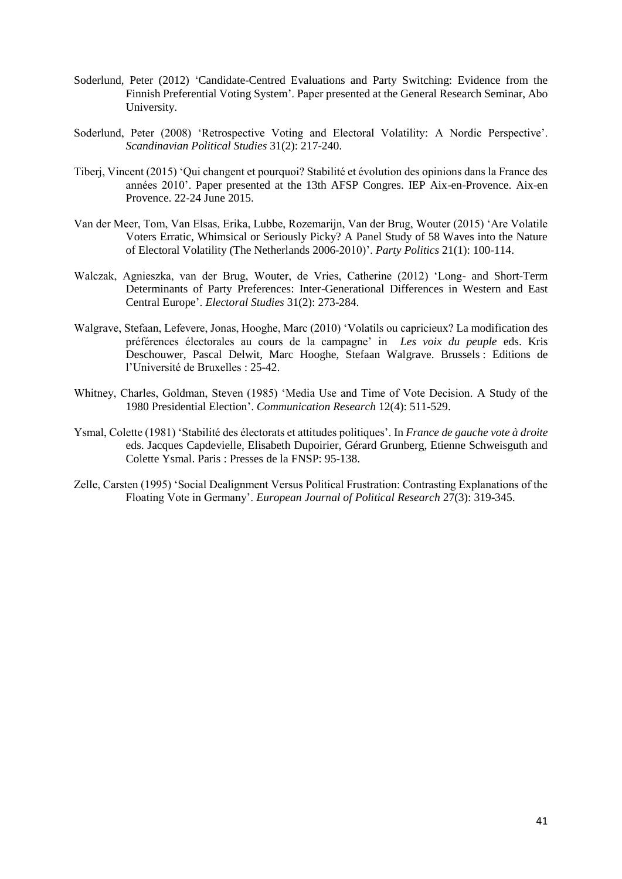- Soderlund, Peter (2012) 'Candidate-Centred Evaluations and Party Switching: Evidence from the Finnish Preferential Voting System'. Paper presented at the General Research Seminar, Abo University.
- Soderlund, Peter (2008) 'Retrospective Voting and Electoral Volatility: A Nordic Perspective'. *Scandinavian Political Studies* 31(2): 217-240.
- Tiberj, Vincent (2015) 'Qui changent et pourquoi? Stabilité et évolution des opinions dans la France des années 2010'. Paper presented at the 13th AFSP Congres. IEP Aix-en-Provence. Aix-en Provence. 22-24 June 2015.
- Van der Meer, Tom, Van Elsas, Erika, Lubbe, Rozemarijn, Van der Brug, Wouter (2015) 'Are Volatile Voters Erratic, Whimsical or Seriously Picky? A Panel Study of 58 Waves into the Nature of Electoral Volatility (The Netherlands 2006-2010)'. *Party Politics* 21(1): 100-114.
- Walczak, Agnieszka, van der Brug, Wouter, de Vries, Catherine (2012) 'Long- and Short-Term Determinants of Party Preferences: Inter-Generational Differences in Western and East Central Europe'. *Electoral Studies* 31(2): 273-284.
- Walgrave, Stefaan, Lefevere, Jonas, Hooghe, Marc (2010) 'Volatils ou capricieux? La modification des préférences électorales au cours de la campagne' in *Les voix du peuple* eds. Kris Deschouwer, Pascal Delwit, Marc Hooghe, Stefaan Walgrave. Brussels : Editions de l'Université de Bruxelles : 25-42.
- Whitney, Charles, Goldman, Steven (1985) 'Media Use and Time of Vote Decision. A Study of the 1980 Presidential Election'. *Communication Research* 12(4): 511-529.
- Ysmal, Colette (1981) 'Stabilité des électorats et attitudes politiques'. In *France de gauche vote à droite*  eds. Jacques Capdevielle, Elisabeth Dupoirier, Gérard Grunberg, Etienne Schweisguth and Colette Ysmal. Paris : Presses de la FNSP: 95-138.
- Zelle, Carsten (1995) 'Social Dealignment Versus Political Frustration: Contrasting Explanations of the Floating Vote in Germany'. *European Journal of Political Research* 27(3): 319-345.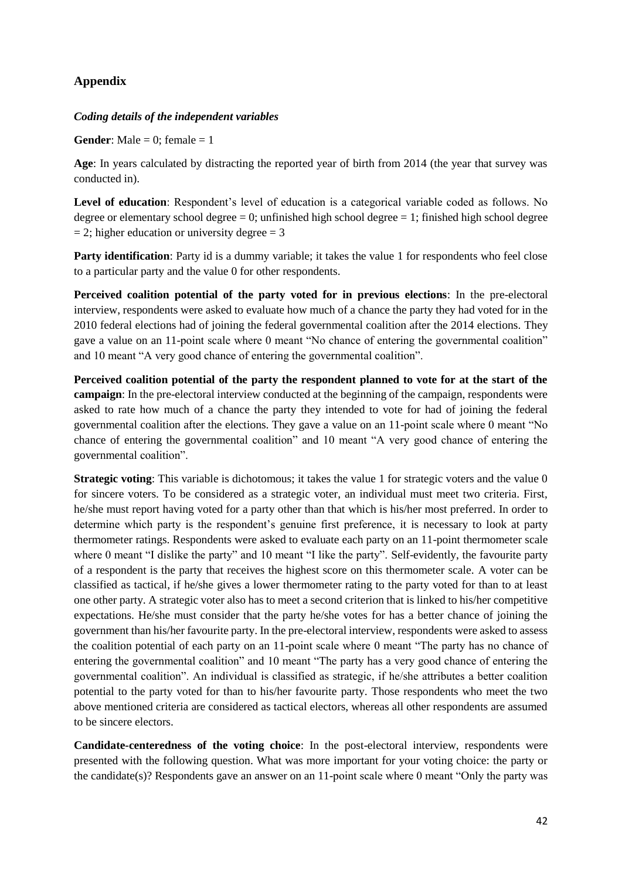# **Appendix**

# *Coding details of the independent variables*

**Gender:** Male  $= 0$ ; female  $= 1$ 

**Age**: In years calculated by distracting the reported year of birth from 2014 (the year that survey was conducted in).

**Level of education**: Respondent's level of education is a categorical variable coded as follows. No degree or elementary school degree  $= 0$ ; unfinished high school degree  $= 1$ ; finished high school degree  $= 2$ ; higher education or university degree  $= 3$ 

**Party identification**: Party id is a dummy variable; it takes the value 1 for respondents who feel close to a particular party and the value 0 for other respondents.

**Perceived coalition potential of the party voted for in previous elections**: In the pre-electoral interview, respondents were asked to evaluate how much of a chance the party they had voted for in the 2010 federal elections had of joining the federal governmental coalition after the 2014 elections. They gave a value on an 11-point scale where 0 meant "No chance of entering the governmental coalition" and 10 meant "A very good chance of entering the governmental coalition".

**Perceived coalition potential of the party the respondent planned to vote for at the start of the campaign**: In the pre-electoral interview conducted at the beginning of the campaign, respondents were asked to rate how much of a chance the party they intended to vote for had of joining the federal governmental coalition after the elections. They gave a value on an 11-point scale where 0 meant "No chance of entering the governmental coalition" and 10 meant "A very good chance of entering the governmental coalition".

**Strategic voting:** This variable is dichotomous; it takes the value 1 for strategic voters and the value 0 for sincere voters. To be considered as a strategic voter, an individual must meet two criteria. First, he/she must report having voted for a party other than that which is his/her most preferred. In order to determine which party is the respondent's genuine first preference, it is necessary to look at party thermometer ratings. Respondents were asked to evaluate each party on an 11-point thermometer scale where 0 meant "I dislike the party" and 10 meant "I like the party". Self-evidently, the favourite party of a respondent is the party that receives the highest score on this thermometer scale. A voter can be classified as tactical, if he/she gives a lower thermometer rating to the party voted for than to at least one other party. A strategic voter also has to meet a second criterion that is linked to his/her competitive expectations. He/she must consider that the party he/she votes for has a better chance of joining the government than his/her favourite party. In the pre-electoral interview, respondents were asked to assess the coalition potential of each party on an 11-point scale where 0 meant "The party has no chance of entering the governmental coalition" and 10 meant "The party has a very good chance of entering the governmental coalition". An individual is classified as strategic, if he/she attributes a better coalition potential to the party voted for than to his/her favourite party. Those respondents who meet the two above mentioned criteria are considered as tactical electors, whereas all other respondents are assumed to be sincere electors.

**Candidate-centeredness of the voting choice**: In the post-electoral interview, respondents were presented with the following question. What was more important for your voting choice: the party or the candidate(s)? Respondents gave an answer on an 11-point scale where 0 meant "Only the party was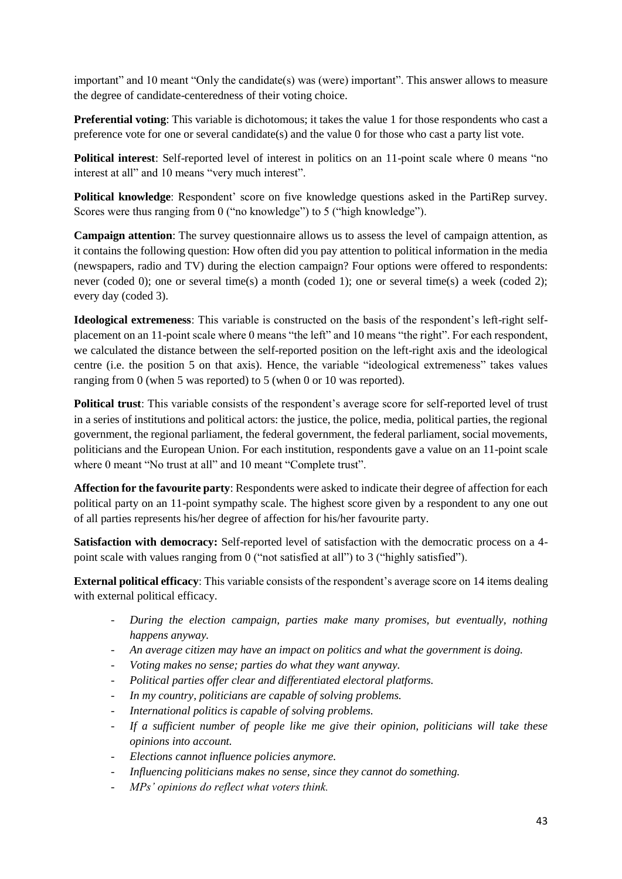important" and 10 meant "Only the candidate(s) was (were) important". This answer allows to measure the degree of candidate-centeredness of their voting choice.

**Preferential voting**: This variable is dichotomous; it takes the value 1 for those respondents who cast a preference vote for one or several candidate(s) and the value 0 for those who cast a party list vote.

**Political interest**: Self-reported level of interest in politics on an 11-point scale where 0 means "no interest at all" and 10 means "very much interest".

**Political knowledge**: Respondent' score on five knowledge questions asked in the PartiRep survey. Scores were thus ranging from 0 ("no knowledge") to 5 ("high knowledge").

**Campaign attention**: The survey questionnaire allows us to assess the level of campaign attention, as it contains the following question: How often did you pay attention to political information in the media (newspapers, radio and TV) during the election campaign? Four options were offered to respondents: never (coded 0); one or several time(s) a month (coded 1); one or several time(s) a week (coded 2); every day (coded 3).

**Ideological extremeness**: This variable is constructed on the basis of the respondent's left-right selfplacement on an 11-point scale where 0 means "the left" and 10 means "the right". For each respondent, we calculated the distance between the self-reported position on the left-right axis and the ideological centre (i.e. the position 5 on that axis). Hence, the variable "ideological extremeness" takes values ranging from 0 (when 5 was reported) to 5 (when 0 or 10 was reported).

**Political trust**: This variable consists of the respondent's average score for self-reported level of trust in a series of institutions and political actors: the justice, the police, media, political parties, the regional government, the regional parliament, the federal government, the federal parliament, social movements, politicians and the European Union. For each institution, respondents gave a value on an 11-point scale where 0 meant "No trust at all" and 10 meant "Complete trust".

**Affection for the favourite party**: Respondents were asked to indicate their degree of affection for each political party on an 11-point sympathy scale. The highest score given by a respondent to any one out of all parties represents his/her degree of affection for his/her favourite party.

**Satisfaction with democracy:** Self-reported level of satisfaction with the democratic process on a 4 point scale with values ranging from 0 ("not satisfied at all") to 3 ("highly satisfied").

**External political efficacy**: This variable consists of the respondent's average score on 14 items dealing with external political efficacy.

- *During the election campaign, parties make many promises, but eventually, nothing happens anyway.*
- *An average citizen may have an impact on politics and what the government is doing.*
- *Voting makes no sense; parties do what they want anyway.*
- *Political parties offer clear and differentiated electoral platforms.*
- In my country, politicians are capable of solving problems.
- *International politics is capable of solving problems.*
- *If a sufficient number of people like me give their opinion, politicians will take these opinions into account.*
- *Elections cannot influence policies anymore.*
- *Influencing politicians makes no sense, since they cannot do something.*
- *MPs' opinions do reflect what voters think.*